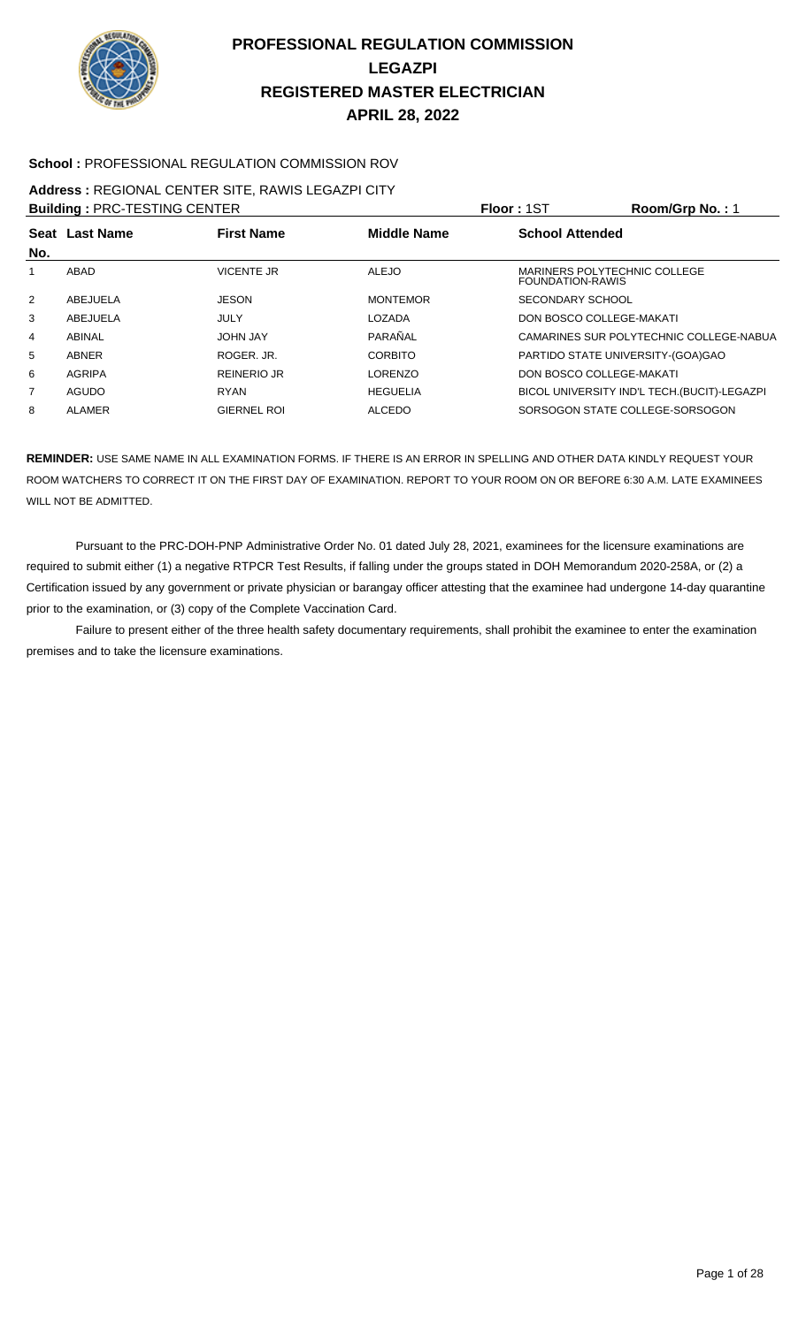

#### **School :** PROFESSIONAL REGULATION COMMISSION ROV

#### **Address :** REGIONAL CENTER SITE, RAWIS LEGAZPI CITY

| <b>Building: PRC-TESTING CENTER</b> |                |                    |                    | Floor: 1ST                                       | Room/Grp No.: 1                              |
|-------------------------------------|----------------|--------------------|--------------------|--------------------------------------------------|----------------------------------------------|
|                                     | Seat Last Name | <b>First Name</b>  | <b>Middle Name</b> | <b>School Attended</b>                           |                                              |
| No.                                 |                |                    |                    |                                                  |                                              |
| 1                                   | ABAD           | <b>VICENTE JR</b>  | <b>ALEJO</b>       | MARINERS POLYTECHNIC COLLEGE<br>FOUNDATION-RAWIS |                                              |
| 2                                   | ABEJUELA       | <b>JESON</b>       | <b>MONTEMOR</b>    | SECONDARY SCHOOL                                 |                                              |
| 3                                   | ABEJUELA       | JULY               | LOZADA             | DON BOSCO COLLEGE-MAKATI                         |                                              |
| 4                                   | ABINAL         | <b>JOHN JAY</b>    | PARAÑAL            |                                                  | CAMARINES SUR POLYTECHNIC COLLEGE-NABUA      |
| 5                                   | <b>ABNER</b>   | ROGER, JR.         | <b>CORBITO</b>     | PARTIDO STATE UNIVERSITY-(GOA)GAO                |                                              |
| 6                                   | AGRIPA         | <b>REINERIO JR</b> | <b>LORENZO</b>     | DON BOSCO COLLEGE-MAKATI                         |                                              |
| 7                                   | AGUDO          | <b>RYAN</b>        | <b>HEGUELIA</b>    |                                                  | BICOL UNIVERSITY IND'L TECH. (BUCIT)-LEGAZPI |
| 8                                   | ALAMER         | <b>GIERNEL ROL</b> | <b>ALCEDO</b>      | SORSOGON STATE COLLEGE-SORSOGON                  |                                              |

**REMINDER:** USE SAME NAME IN ALL EXAMINATION FORMS. IF THERE IS AN ERROR IN SPELLING AND OTHER DATA KINDLY REQUEST YOUR ROOM WATCHERS TO CORRECT IT ON THE FIRST DAY OF EXAMINATION. REPORT TO YOUR ROOM ON OR BEFORE 6:30 A.M. LATE EXAMINEES WILL NOT BE ADMITTED.

 Pursuant to the PRC-DOH-PNP Administrative Order No. 01 dated July 28, 2021, examinees for the licensure examinations are required to submit either (1) a negative RTPCR Test Results, if falling under the groups stated in DOH Memorandum 2020-258A, or (2) a Certification issued by any government or private physician or barangay officer attesting that the examinee had undergone 14-day quarantine prior to the examination, or (3) copy of the Complete Vaccination Card.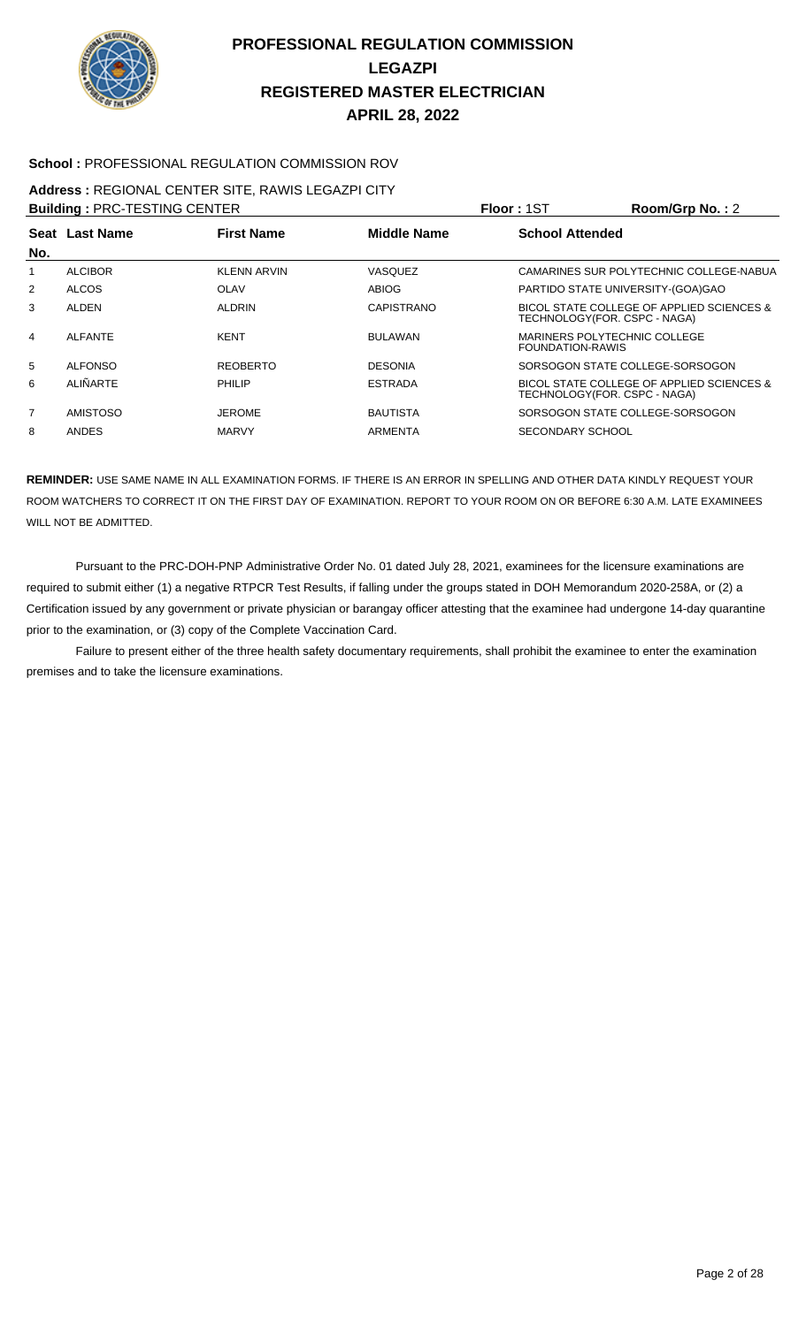

#### **School :** PROFESSIONAL REGULATION COMMISSION ROV

#### **Address :** REGIONAL CENTER SITE, RAWIS LEGAZPI CITY

| <b>Building: PRC-TESTING CENTER</b> |                 |                    |                    | Floor: 1ST                                       | Room/Grp No.: 2                           |
|-------------------------------------|-----------------|--------------------|--------------------|--------------------------------------------------|-------------------------------------------|
|                                     | Seat Last Name  | <b>First Name</b>  | <b>Middle Name</b> | <b>School Attended</b>                           |                                           |
| No.                                 |                 |                    |                    |                                                  |                                           |
|                                     | <b>ALCIBOR</b>  | <b>KLENN ARVIN</b> | VASQUEZ            |                                                  | CAMARINES SUR POLYTECHNIC COLLEGE-NABUA   |
| 2                                   | <b>ALCOS</b>    | <b>OLAV</b>        | ABIOG              | PARTIDO STATE UNIVERSITY-(GOA)GAO                |                                           |
| 3                                   | <b>ALDEN</b>    | <b>ALDRIN</b>      | <b>CAPISTRANO</b>  | TECHNOLOGY(FOR. CSPC - NAGA)                     | BICOL STATE COLLEGE OF APPLIED SCIENCES & |
| 4                                   | <b>ALFANTE</b>  | <b>KENT</b>        | <b>BULAWAN</b>     | MARINERS POLYTECHNIC COLLEGE<br>FOUNDATION-RAWIS |                                           |
| 5                                   | <b>ALFONSO</b>  | <b>REOBERTO</b>    | <b>DESONIA</b>     |                                                  | SORSOGON STATE COLLEGE-SORSOGON           |
| 6                                   | ALIÑARTE        | <b>PHILIP</b>      | <b>ESTRADA</b>     | TECHNOLOGY(FOR. CSPC - NAGA)                     | BICOL STATE COLLEGE OF APPLIED SCIENCES & |
| $\overline{7}$                      | <b>AMISTOSO</b> | <b>JEROME</b>      | <b>BAUTISTA</b>    |                                                  | SORSOGON STATE COLLEGE-SORSOGON           |
| 8                                   | <b>ANDES</b>    | <b>MARVY</b>       | <b>ARMENTA</b>     | SECONDARY SCHOOL                                 |                                           |

**REMINDER:** USE SAME NAME IN ALL EXAMINATION FORMS. IF THERE IS AN ERROR IN SPELLING AND OTHER DATA KINDLY REQUEST YOUR ROOM WATCHERS TO CORRECT IT ON THE FIRST DAY OF EXAMINATION. REPORT TO YOUR ROOM ON OR BEFORE 6:30 A.M. LATE EXAMINEES WILL NOT BE ADMITTED.

 Pursuant to the PRC-DOH-PNP Administrative Order No. 01 dated July 28, 2021, examinees for the licensure examinations are required to submit either (1) a negative RTPCR Test Results, if falling under the groups stated in DOH Memorandum 2020-258A, or (2) a Certification issued by any government or private physician or barangay officer attesting that the examinee had undergone 14-day quarantine prior to the examination, or (3) copy of the Complete Vaccination Card.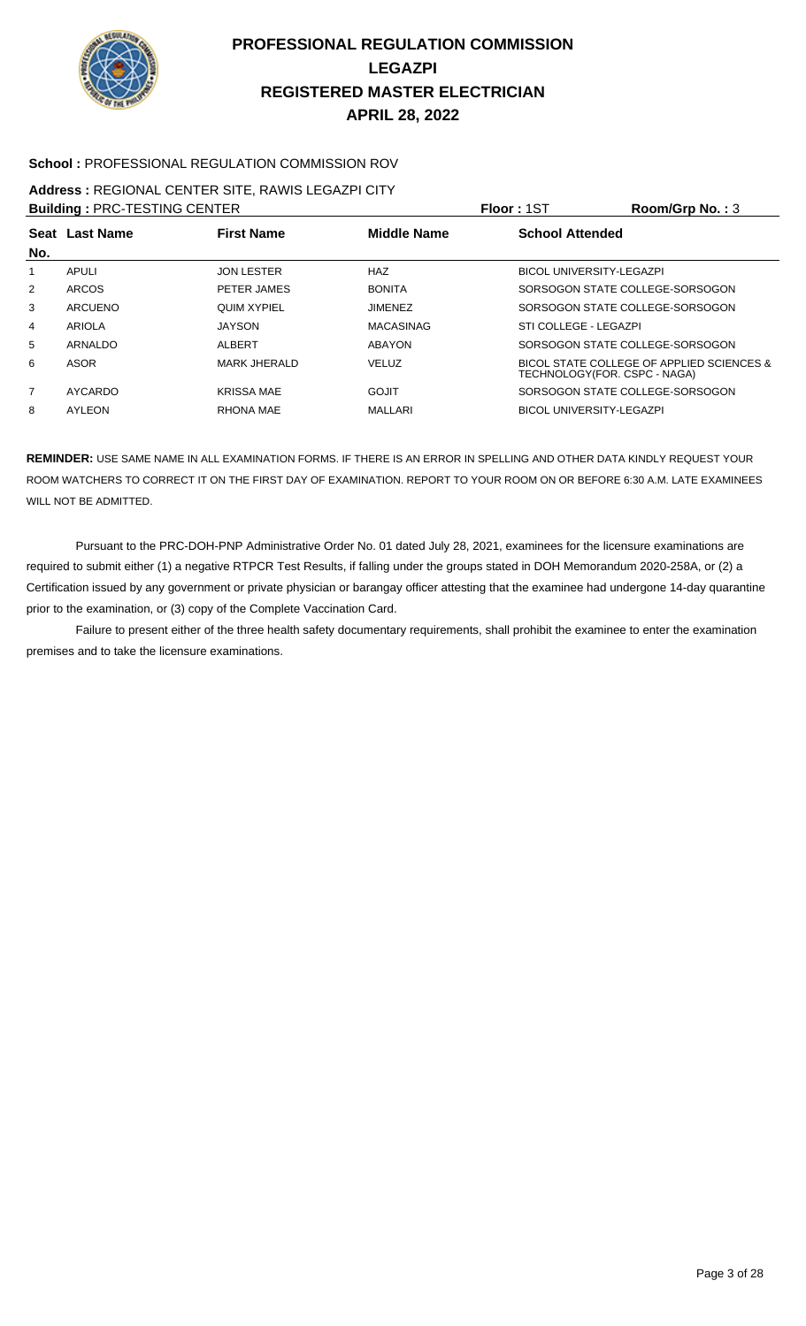

#### **School :** PROFESSIONAL REGULATION COMMISSION ROV

### **Address :** REGIONAL CENTER SITE, RAWIS LEGAZPI CITY

| <b>Building: PRC-TESTING CENTER</b> |                |                     |                    | <b>Floor: 1ST</b>               | Room/Grp No.: $3$                         |
|-------------------------------------|----------------|---------------------|--------------------|---------------------------------|-------------------------------------------|
| No.                                 | Seat Last Name | <b>First Name</b>   | <b>Middle Name</b> | <b>School Attended</b>          |                                           |
| 1                                   | APULI          | <b>JON LESTER</b>   | <b>HAZ</b>         | <b>BICOL UNIVERSITY-LEGAZPI</b> |                                           |
| $\overline{2}$                      | <b>ARCOS</b>   | PETER JAMES         | <b>BONITA</b>      |                                 | SORSOGON STATE COLLEGE-SORSOGON           |
| 3                                   | ARCUENO        | <b>QUIM XYPIEL</b>  | <b>JIMENEZ</b>     |                                 | SORSOGON STATE COLLEGE-SORSOGON           |
| 4                                   | ARIOLA         | <b>JAYSON</b>       | <b>MACASINAG</b>   | STI COLLEGE - LEGAZPI           |                                           |
| 5                                   | ARNALDO        | ALBERT              | <b>ABAYON</b>      |                                 | SORSOGON STATE COLLEGE-SORSOGON           |
| 6                                   | ASOR           | <b>MARK JHERALD</b> | <b>VELUZ</b>       | TECHNOLOGY(FOR. CSPC - NAGA)    | BICOL STATE COLLEGE OF APPLIED SCIENCES & |
| $\overline{7}$                      | AYCARDO        | <b>KRISSA MAE</b>   | GOJIT              |                                 | SORSOGON STATE COLLEGE-SORSOGON           |
| 8                                   | AYLEON         | RHONA MAE           | MALLARI            | <b>BICOL UNIVERSITY-LEGAZPI</b> |                                           |

**REMINDER:** USE SAME NAME IN ALL EXAMINATION FORMS. IF THERE IS AN ERROR IN SPELLING AND OTHER DATA KINDLY REQUEST YOUR ROOM WATCHERS TO CORRECT IT ON THE FIRST DAY OF EXAMINATION. REPORT TO YOUR ROOM ON OR BEFORE 6:30 A.M. LATE EXAMINEES WILL NOT BE ADMITTED.

 Pursuant to the PRC-DOH-PNP Administrative Order No. 01 dated July 28, 2021, examinees for the licensure examinations are required to submit either (1) a negative RTPCR Test Results, if falling under the groups stated in DOH Memorandum 2020-258A, or (2) a Certification issued by any government or private physician or barangay officer attesting that the examinee had undergone 14-day quarantine prior to the examination, or (3) copy of the Complete Vaccination Card.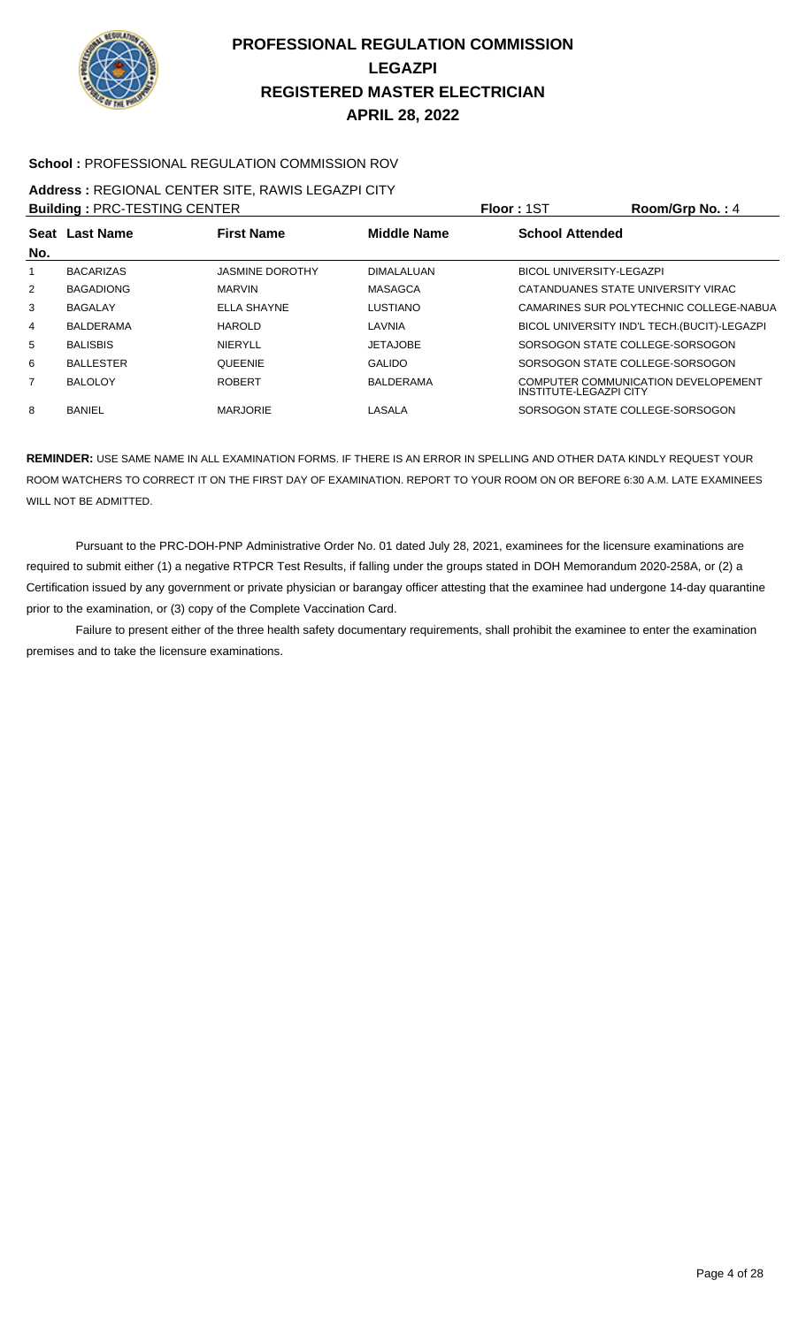

#### **School :** PROFESSIONAL REGULATION COMMISSION ROV

### **Address :** REGIONAL CENTER SITE, RAWIS LEGAZPI CITY

| <b>Building: PRC-TESTING CENTER</b> |                  |                        |                   | Floor: 1ST                      | Room/Grp No.: 4                              |
|-------------------------------------|------------------|------------------------|-------------------|---------------------------------|----------------------------------------------|
|                                     | Seat Last Name   | <b>First Name</b>      | Middle Name       | <b>School Attended</b>          |                                              |
| No.                                 |                  |                        |                   |                                 |                                              |
| 1                                   | <b>BACARIZAS</b> | <b>JASMINE DOROTHY</b> | <b>DIMALALUAN</b> | <b>BICOL UNIVERSITY-LEGAZPI</b> |                                              |
| $\overline{2}$                      | <b>BAGADIONG</b> | <b>MARVIN</b>          | <b>MASAGCA</b>    |                                 | CATANDUANES STATE UNIVERSITY VIRAC           |
| 3                                   | <b>BAGALAY</b>   | ELLA SHAYNE            | <b>LUSTIANO</b>   |                                 | CAMARINES SUR POLYTECHNIC COLLEGE-NABUA      |
| 4                                   | <b>BALDERAMA</b> | HAROLD                 | LAVNIA            |                                 | BICOL UNIVERSITY IND'L TECH. (BUCIT)-LEGAZPI |
| 5                                   | <b>BALISBIS</b>  | <b>NIERYLL</b>         | <b>JETAJOBE</b>   |                                 | SORSOGON STATE COLLEGE-SORSOGON              |
| 6                                   | <b>BALLESTER</b> | <b>QUEENIE</b>         | <b>GALIDO</b>     |                                 | SORSOGON STATE COLLEGE-SORSOGON              |
| 7                                   | <b>BALOLOY</b>   | <b>ROBERT</b>          | <b>BALDERAMA</b>  | <b>INSTITUTE-LEGAZPI CITY</b>   | COMPUTER COMMUNICATION DEVELOPEMENT          |
| 8                                   | BANIEL           | <b>MARJORIE</b>        | LASALA            |                                 | SORSOGON STATE COLLEGE-SORSOGON              |

**REMINDER:** USE SAME NAME IN ALL EXAMINATION FORMS. IF THERE IS AN ERROR IN SPELLING AND OTHER DATA KINDLY REQUEST YOUR ROOM WATCHERS TO CORRECT IT ON THE FIRST DAY OF EXAMINATION. REPORT TO YOUR ROOM ON OR BEFORE 6:30 A.M. LATE EXAMINEES WILL NOT BE ADMITTED.

 Pursuant to the PRC-DOH-PNP Administrative Order No. 01 dated July 28, 2021, examinees for the licensure examinations are required to submit either (1) a negative RTPCR Test Results, if falling under the groups stated in DOH Memorandum 2020-258A, or (2) a Certification issued by any government or private physician or barangay officer attesting that the examinee had undergone 14-day quarantine prior to the examination, or (3) copy of the Complete Vaccination Card.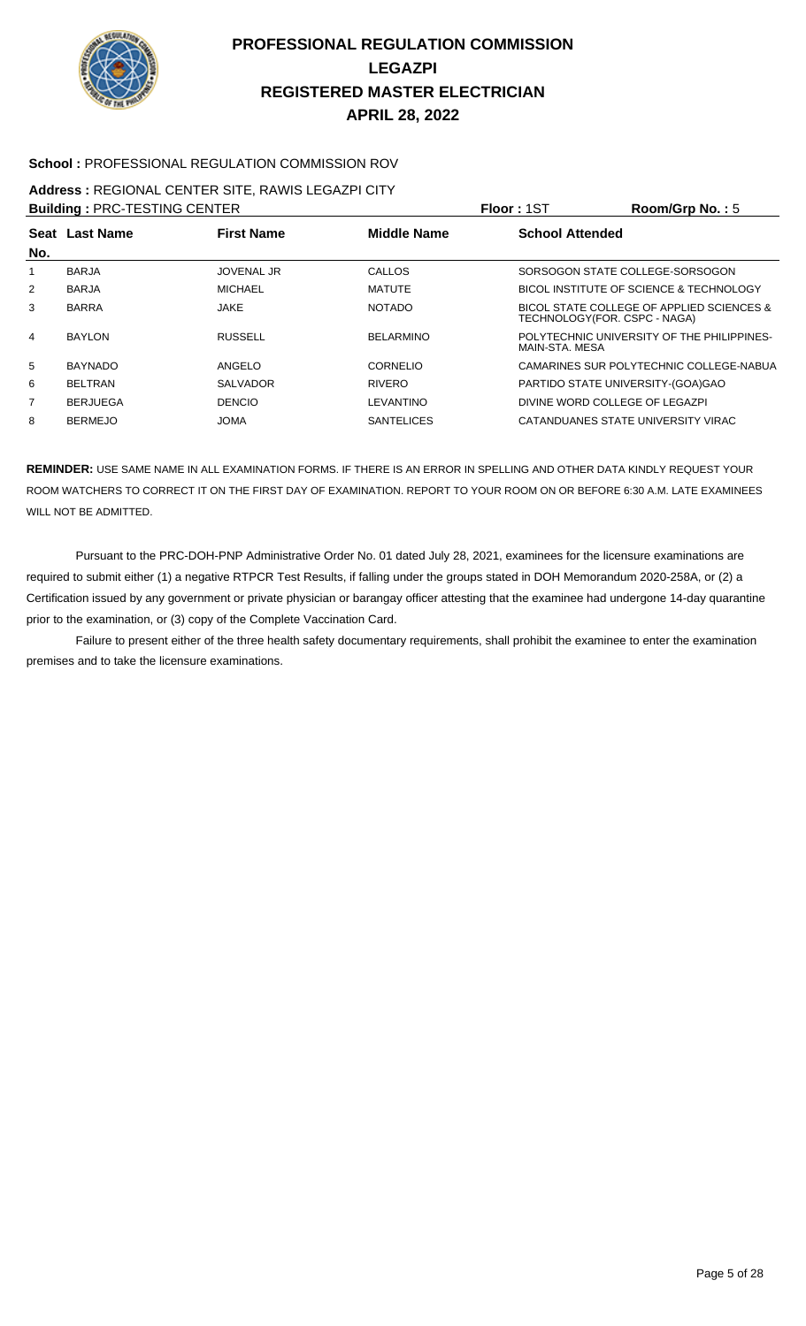

#### **School :** PROFESSIONAL REGULATION COMMISSION ROV

#### **Address :** REGIONAL CENTER SITE, RAWIS LEGAZPI CITY

| <b>Building: PRC-TESTING CENTER</b> |                  |                   |                    | <b>Floor: 1ST</b>                 | Room/Grp No.: 5                            |
|-------------------------------------|------------------|-------------------|--------------------|-----------------------------------|--------------------------------------------|
| Seat<br>No.                         | <b>Last Name</b> | <b>First Name</b> | <b>Middle Name</b> | <b>School Attended</b>            |                                            |
|                                     | <b>BARJA</b>     | <b>JOVENAL JR</b> | CALLOS             |                                   | SORSOGON STATE COLLEGE-SORSOGON            |
| $\overline{2}$                      | <b>BARJA</b>     | <b>MICHAEL</b>    | <b>MATUTE</b>      |                                   | BICOL INSTITUTE OF SCIENCE & TECHNOLOGY    |
| 3                                   | <b>BARRA</b>     | <b>JAKE</b>       | <b>NOTADO</b>      | TECHNOLOGY (FOR. CSPC - NAGA)     | BICOL STATE COLLEGE OF APPLIED SCIENCES &  |
| 4                                   | <b>BAYLON</b>    | <b>RUSSELL</b>    | <b>BELARMINO</b>   | MAIN-STA, MESA                    | POLYTECHNIC UNIVERSITY OF THE PHILIPPINES- |
| 5                                   | <b>BAYNADO</b>   | ANGELO            | <b>CORNELIO</b>    |                                   | CAMARINES SUR POLYTECHNIC COLLEGE-NABUA    |
| 6                                   | <b>BELTRAN</b>   | <b>SALVADOR</b>   | <b>RIVERO</b>      | PARTIDO STATE UNIVERSITY-(GOA)GAO |                                            |
| $\overline{7}$                      | <b>BERJUEGA</b>  | <b>DENCIO</b>     | LEVANTINO          | DIVINE WORD COLLEGE OF LEGAZPI    |                                            |
| 8                                   | <b>BERMEJO</b>   | <b>JOMA</b>       | <b>SANTELICES</b>  |                                   | CATANDUANES STATE UNIVERSITY VIRAC         |

**REMINDER:** USE SAME NAME IN ALL EXAMINATION FORMS. IF THERE IS AN ERROR IN SPELLING AND OTHER DATA KINDLY REQUEST YOUR ROOM WATCHERS TO CORRECT IT ON THE FIRST DAY OF EXAMINATION. REPORT TO YOUR ROOM ON OR BEFORE 6:30 A.M. LATE EXAMINEES WILL NOT BE ADMITTED.

 Pursuant to the PRC-DOH-PNP Administrative Order No. 01 dated July 28, 2021, examinees for the licensure examinations are required to submit either (1) a negative RTPCR Test Results, if falling under the groups stated in DOH Memorandum 2020-258A, or (2) a Certification issued by any government or private physician or barangay officer attesting that the examinee had undergone 14-day quarantine prior to the examination, or (3) copy of the Complete Vaccination Card.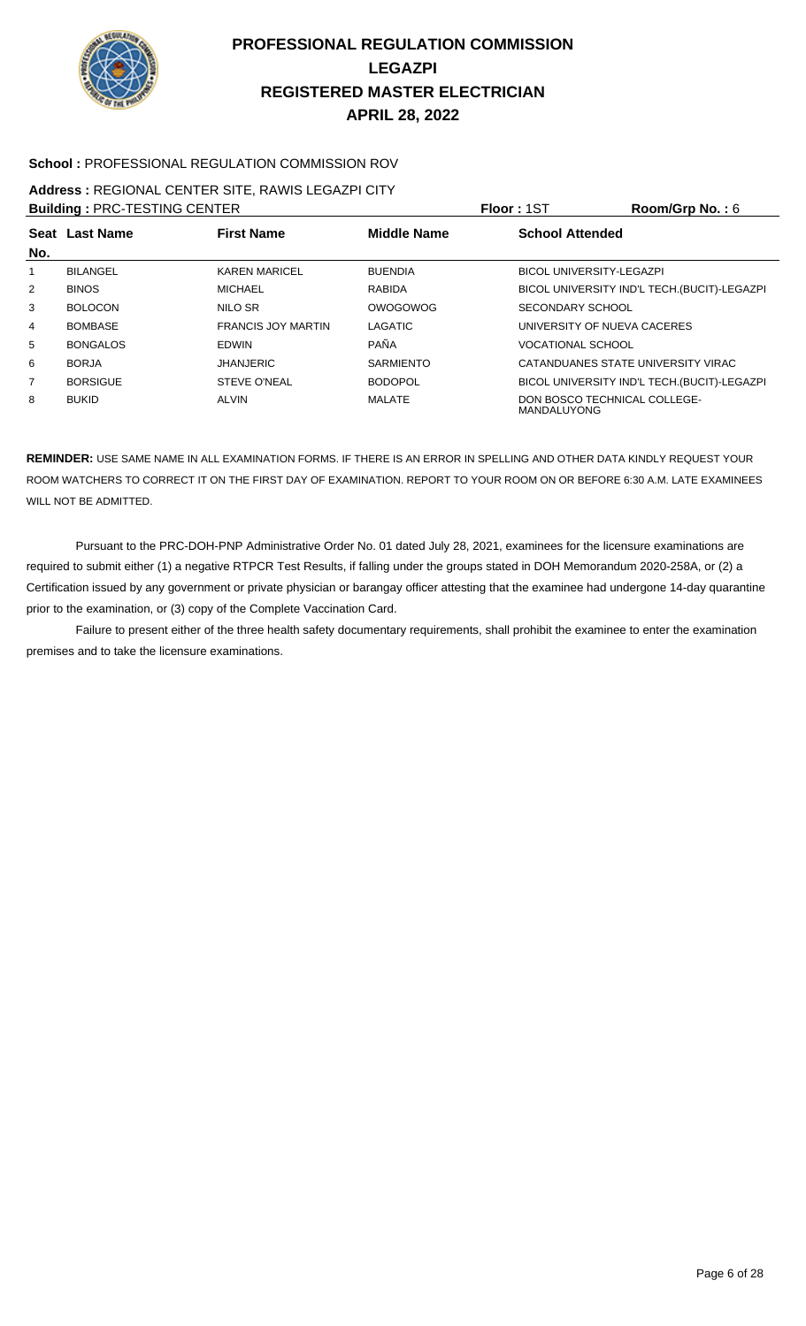

#### **School :** PROFESSIONAL REGULATION COMMISSION ROV

#### **Address :** REGIONAL CENTER SITE, RAWIS LEGAZPI CITY **Building :** PRC-TESTING CENTER **Floor :** 1ST **Room/Grp No. :** 6

| <b>BUILDING : PRU-TESTING UENTER</b> |                 |                           |                    | <b>FIUUT : 151</b><br><b>ROOIII/UID NO. . 0</b>    |
|--------------------------------------|-----------------|---------------------------|--------------------|----------------------------------------------------|
|                                      | Seat Last Name  | <b>First Name</b>         | <b>Middle Name</b> | <b>School Attended</b>                             |
| No.                                  |                 |                           |                    |                                                    |
|                                      | <b>BILANGEL</b> | <b>KAREN MARICEL</b>      | <b>BUENDIA</b>     | <b>BICOL UNIVERSITY-LEGAZPI</b>                    |
| 2                                    | <b>BINOS</b>    | <b>MICHAEL</b>            | <b>RABIDA</b>      | BICOL UNIVERSITY IND'L TECH.(BUCIT)-LEGAZPI        |
| 3                                    | <b>BOLOCON</b>  | NILO SR                   | OWOGOWOG           | SECONDARY SCHOOL                                   |
| 4                                    | <b>BOMBASE</b>  | <b>FRANCIS JOY MARTIN</b> | <b>LAGATIC</b>     | UNIVERSITY OF NUEVA CACERES                        |
| 5                                    | <b>BONGALOS</b> | <b>EDWIN</b>              | PAÑA               | <b>VOCATIONAL SCHOOL</b>                           |
| 6                                    | <b>BORJA</b>    | <b>JHANJERIC</b>          | <b>SARMIENTO</b>   | CATANDUANES STATE UNIVERSITY VIRAC                 |
| 7                                    | <b>BORSIGUE</b> | <b>STEVE O'NEAL</b>       | <b>BODOPOL</b>     | BICOL UNIVERSITY IND'L TECH. (BUCIT)-LEGAZPI       |
| 8                                    | <b>BUKID</b>    | <b>ALVIN</b>              | MALATE             | DON BOSCO TECHNICAL COLLEGE-<br><b>MANDALUYONG</b> |

**REMINDER:** USE SAME NAME IN ALL EXAMINATION FORMS. IF THERE IS AN ERROR IN SPELLING AND OTHER DATA KINDLY REQUEST YOUR ROOM WATCHERS TO CORRECT IT ON THE FIRST DAY OF EXAMINATION. REPORT TO YOUR ROOM ON OR BEFORE 6:30 A.M. LATE EXAMINEES WILL NOT BE ADMITTED.

 Pursuant to the PRC-DOH-PNP Administrative Order No. 01 dated July 28, 2021, examinees for the licensure examinations are required to submit either (1) a negative RTPCR Test Results, if falling under the groups stated in DOH Memorandum 2020-258A, or (2) a Certification issued by any government or private physician or barangay officer attesting that the examinee had undergone 14-day quarantine prior to the examination, or (3) copy of the Complete Vaccination Card.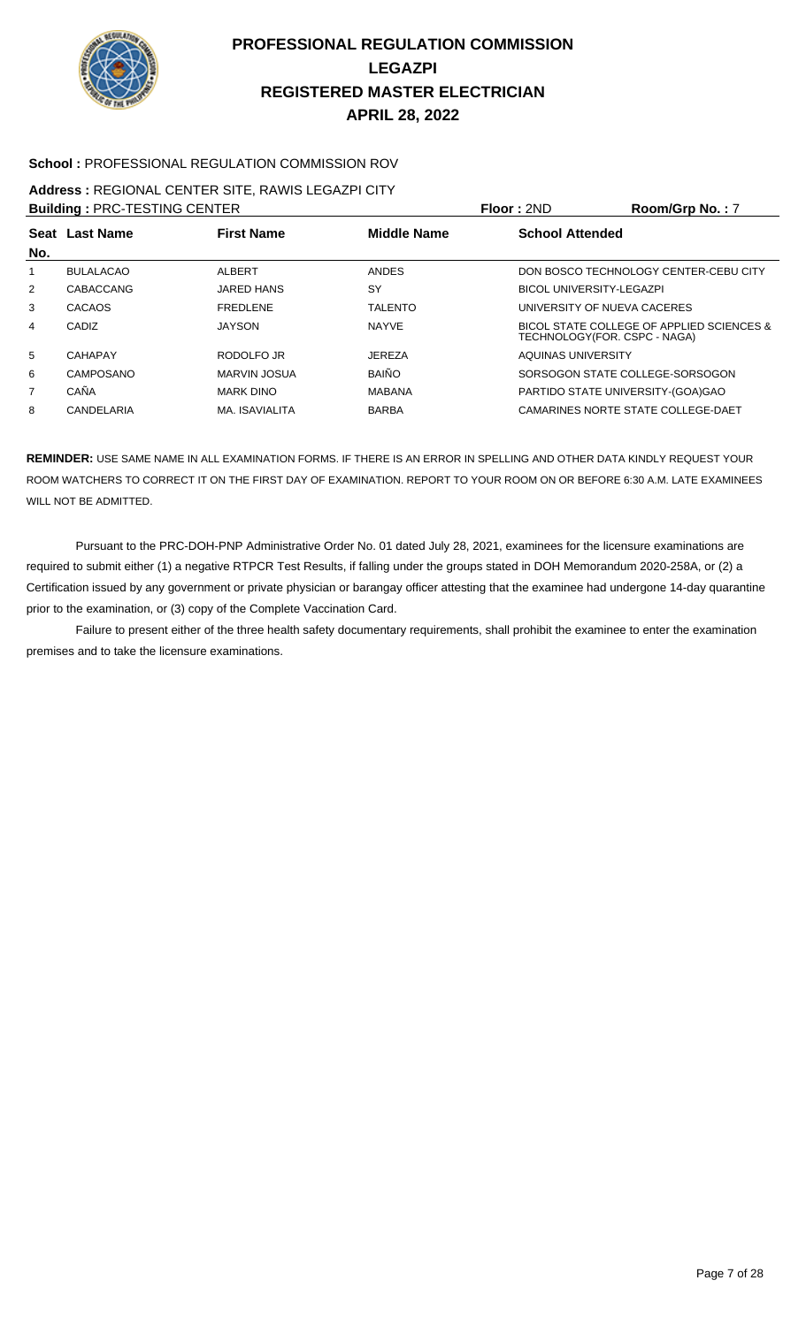

#### **School :** PROFESSIONAL REGULATION COMMISSION ROV

# **Address :** REGIONAL CENTER SITE, RAWIS LEGAZPI CITY

**Building :** PRC-TESTING CENTER **Floor :** 2ND **Room/Grp No. :** 7

|                |                  |                   |                    | .                               |                                                                           |
|----------------|------------------|-------------------|--------------------|---------------------------------|---------------------------------------------------------------------------|
| No.            | Seat Last Name   | <b>First Name</b> | <b>Middle Name</b> | <b>School Attended</b>          |                                                                           |
|                | <b>BULALACAO</b> | ALBERT            | <b>ANDES</b>       |                                 | DON BOSCO TECHNOLOGY CENTER-CEBU CITY                                     |
| 2              | CABACCANG        | <b>JARED HANS</b> | SY                 | <b>BICOL UNIVERSITY-LEGAZPI</b> |                                                                           |
| 3              | CACAOS           | <b>FREDLENE</b>   | <b>TALENTO</b>     |                                 | UNIVERSITY OF NUEVA CACERES                                               |
| 4              | CADIZ            | <b>JAYSON</b>     | <b>NAYVE</b>       |                                 | BICOL STATE COLLEGE OF APPLIED SCIENCES &<br>TECHNOLOGY(FOR. CSPC - NAGA) |
| 5              | CAHAPAY          | RODOLFO JR        | <b>JEREZA</b>      | AQUINAS UNIVERSITY              |                                                                           |
| 6              | CAMPOSANO        | MARVIN JOSUA      | <b>BAIÑO</b>       |                                 | SORSOGON STATE COLLEGE-SORSOGON                                           |
| $\overline{7}$ | CAÑA             | <b>MARK DINO</b>  | <b>MABANA</b>      |                                 | PARTIDO STATE UNIVERSITY-(GOA)GAO                                         |
| 8              | CANDELARIA       | MA. ISAVIALITA    | <b>BARBA</b>       |                                 | CAMARINES NORTE STATE COLLEGE-DAET                                        |
|                |                  |                   |                    |                                 |                                                                           |

**REMINDER:** USE SAME NAME IN ALL EXAMINATION FORMS. IF THERE IS AN ERROR IN SPELLING AND OTHER DATA KINDLY REQUEST YOUR ROOM WATCHERS TO CORRECT IT ON THE FIRST DAY OF EXAMINATION. REPORT TO YOUR ROOM ON OR BEFORE 6:30 A.M. LATE EXAMINEES WILL NOT BE ADMITTED.

 Pursuant to the PRC-DOH-PNP Administrative Order No. 01 dated July 28, 2021, examinees for the licensure examinations are required to submit either (1) a negative RTPCR Test Results, if falling under the groups stated in DOH Memorandum 2020-258A, or (2) a Certification issued by any government or private physician or barangay officer attesting that the examinee had undergone 14-day quarantine prior to the examination, or (3) copy of the Complete Vaccination Card.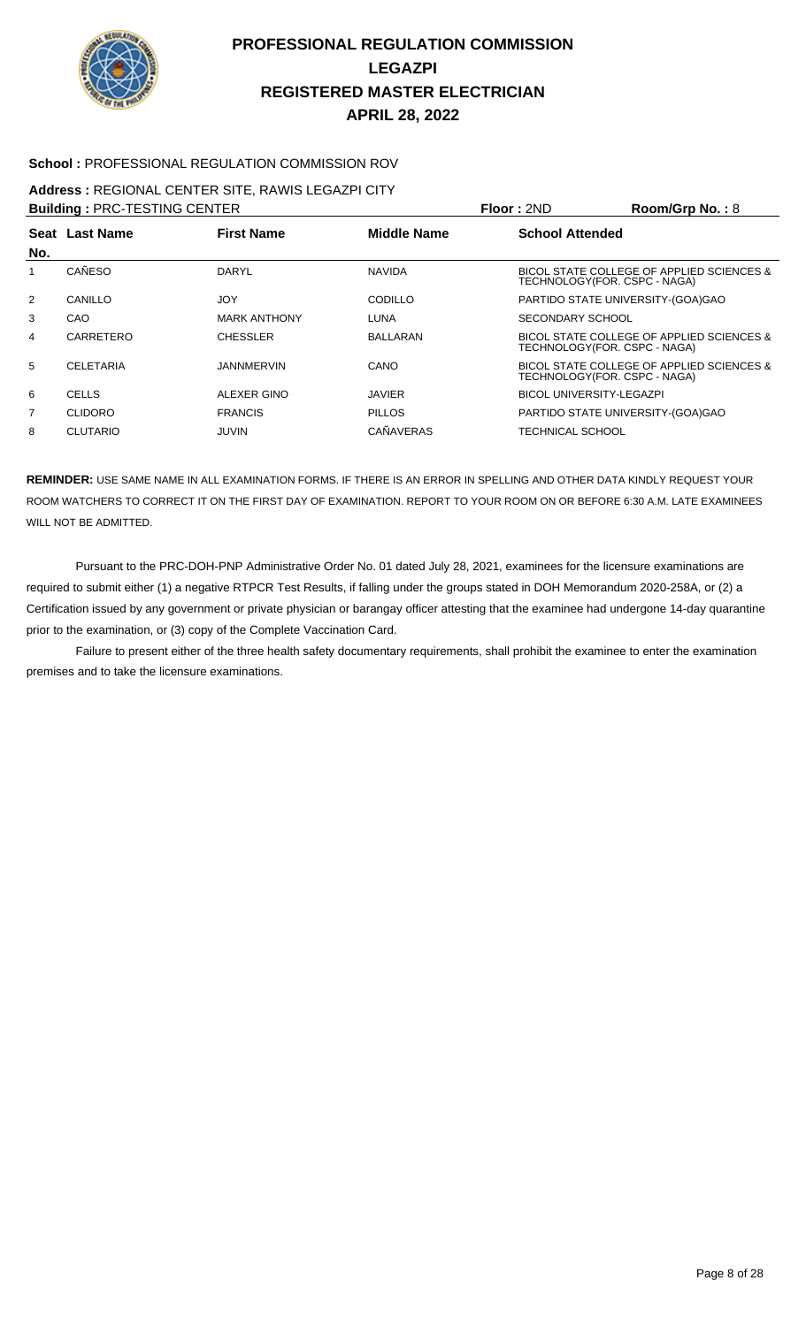

#### **School :** PROFESSIONAL REGULATION COMMISSION ROV

### **Address :** REGIONAL CENTER SITE, RAWIS LEGAZPI CITY

**Building : PRC-TESTING CENTER Floor : 2ND Room/Grp No. : 8** 

| No.            | Seat Last Name   | <b>First Name</b>   | <b>Middle Name</b> | <b>School Attended</b>                                                     |
|----------------|------------------|---------------------|--------------------|----------------------------------------------------------------------------|
|                | CAÑESO           | DARYL               | <b>NAVIDA</b>      | BICOL STATE COLLEGE OF APPLIED SCIENCES &<br>TECHNOLOGY (FOR. CSPC - NAGA) |
| $\overline{2}$ | CANILLO          | JOY                 | <b>CODILLO</b>     | PARTIDO STATE UNIVERSITY-(GOA)GAO                                          |
| 3              | CAO              | <b>MARK ANTHONY</b> | <b>LUNA</b>        | SECONDARY SCHOOL                                                           |
| 4              | CARRETERO        | <b>CHESSLER</b>     | <b>BALLARAN</b>    | BICOL STATE COLLEGE OF APPLIED SCIENCES &<br>TECHNOLOGY (FOR. CSPC - NAGA) |
| 5              | <b>CELETARIA</b> | <b>JANNMERVIN</b>   | CANO               | BICOL STATE COLLEGE OF APPLIED SCIENCES &<br>TECHNOLOGY (FOR. CSPC - NAGA) |
| 6              | <b>CELLS</b>     | ALEXER GINO         | <b>JAVIER</b>      | <b>BICOL UNIVERSITY-LEGAZPI</b>                                            |
| $\overline{7}$ | <b>CLIDORO</b>   | <b>FRANCIS</b>      | <b>PILLOS</b>      | PARTIDO STATE UNIVERSITY-(GOA)GAO                                          |
| 8              | <b>CLUTARIO</b>  | JUVIN               | CAÑAVERAS          | TECHNICAL SCHOOL                                                           |

**REMINDER:** USE SAME NAME IN ALL EXAMINATION FORMS. IF THERE IS AN ERROR IN SPELLING AND OTHER DATA KINDLY REQUEST YOUR ROOM WATCHERS TO CORRECT IT ON THE FIRST DAY OF EXAMINATION. REPORT TO YOUR ROOM ON OR BEFORE 6:30 A.M. LATE EXAMINEES WILL NOT BE ADMITTED.

 Pursuant to the PRC-DOH-PNP Administrative Order No. 01 dated July 28, 2021, examinees for the licensure examinations are required to submit either (1) a negative RTPCR Test Results, if falling under the groups stated in DOH Memorandum 2020-258A, or (2) a Certification issued by any government or private physician or barangay officer attesting that the examinee had undergone 14-day quarantine prior to the examination, or (3) copy of the Complete Vaccination Card.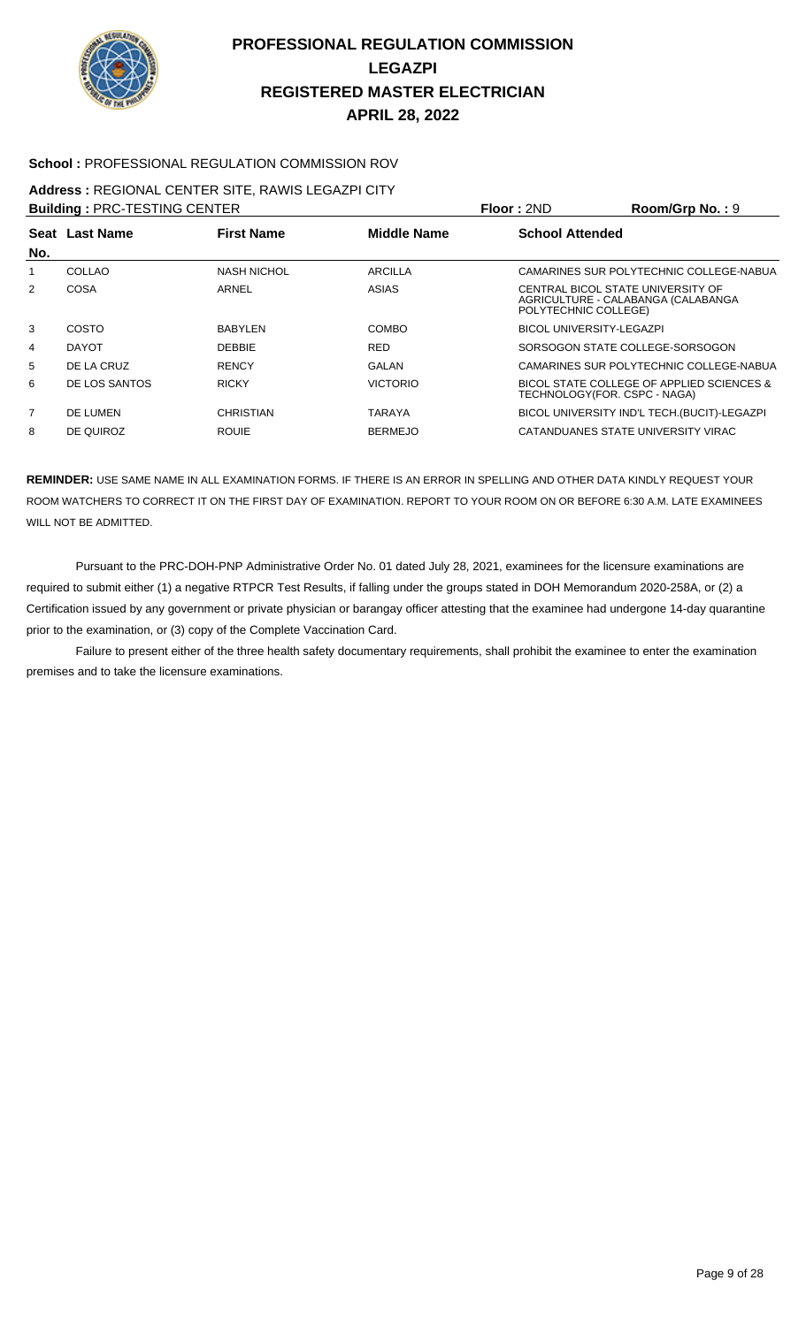

#### **School :** PROFESSIONAL REGULATION COMMISSION ROV

### **Address :** REGIONAL CENTER SITE, RAWIS LEGAZPI CITY

| <b>Building: PRC-TESTING CENTER</b> |                |                    |                    | Floor: 2ND                                                | Room/Grp No.: 9                              |
|-------------------------------------|----------------|--------------------|--------------------|-----------------------------------------------------------|----------------------------------------------|
|                                     | Seat Last Name | <b>First Name</b>  | <b>Middle Name</b> | <b>School Attended</b>                                    |                                              |
| No.                                 |                |                    |                    |                                                           |                                              |
|                                     | COLLAO         | <b>NASH NICHOL</b> | ARCILLA            |                                                           | CAMARINES SUR POLYTECHNIC COLLEGE-NABUA      |
| 2                                   | <b>COSA</b>    | ARNEL              | ASIAS              | CENTRAL BICOL STATE UNIVERSITY OF<br>POLYTECHNIC COLLEGE) | AGRICULTURE - CALABANGA (CALABANGA           |
| 3                                   | COSTO          | <b>BABYLEN</b>     | COMBO              | <b>BICOL UNIVERSITY-LEGAZPI</b>                           |                                              |
| 4                                   | <b>DAYOT</b>   | <b>DEBBIE</b>      | <b>RED</b>         |                                                           | SORSOGON STATE COLLEGE-SORSOGON              |
| 5                                   | DE LA CRUZ     | <b>RENCY</b>       | GALAN              |                                                           | CAMARINES SUR POLYTECHNIC COLLEGE-NABUA      |
| 6                                   | DE LOS SANTOS  | <b>RICKY</b>       | <b>VICTORIO</b>    | TECHNOLOGY (FOR. CSPC - NAGA)                             | BICOL STATE COLLEGE OF APPLIED SCIENCES &    |
| $\overline{7}$                      | DE LUMEN       | <b>CHRISTIAN</b>   | <b>TARAYA</b>      |                                                           | BICOL UNIVERSITY IND'L TECH. (BUCIT)-LEGAZPI |
| 8                                   | DE QUIROZ      | <b>ROUIE</b>       | <b>BERMEJO</b>     |                                                           | CATANDUANES STATE UNIVERSITY VIRAC           |

**REMINDER:** USE SAME NAME IN ALL EXAMINATION FORMS. IF THERE IS AN ERROR IN SPELLING AND OTHER DATA KINDLY REQUEST YOUR ROOM WATCHERS TO CORRECT IT ON THE FIRST DAY OF EXAMINATION. REPORT TO YOUR ROOM ON OR BEFORE 6:30 A.M. LATE EXAMINEES WILL NOT BE ADMITTED.

 Pursuant to the PRC-DOH-PNP Administrative Order No. 01 dated July 28, 2021, examinees for the licensure examinations are required to submit either (1) a negative RTPCR Test Results, if falling under the groups stated in DOH Memorandum 2020-258A, or (2) a Certification issued by any government or private physician or barangay officer attesting that the examinee had undergone 14-day quarantine prior to the examination, or (3) copy of the Complete Vaccination Card.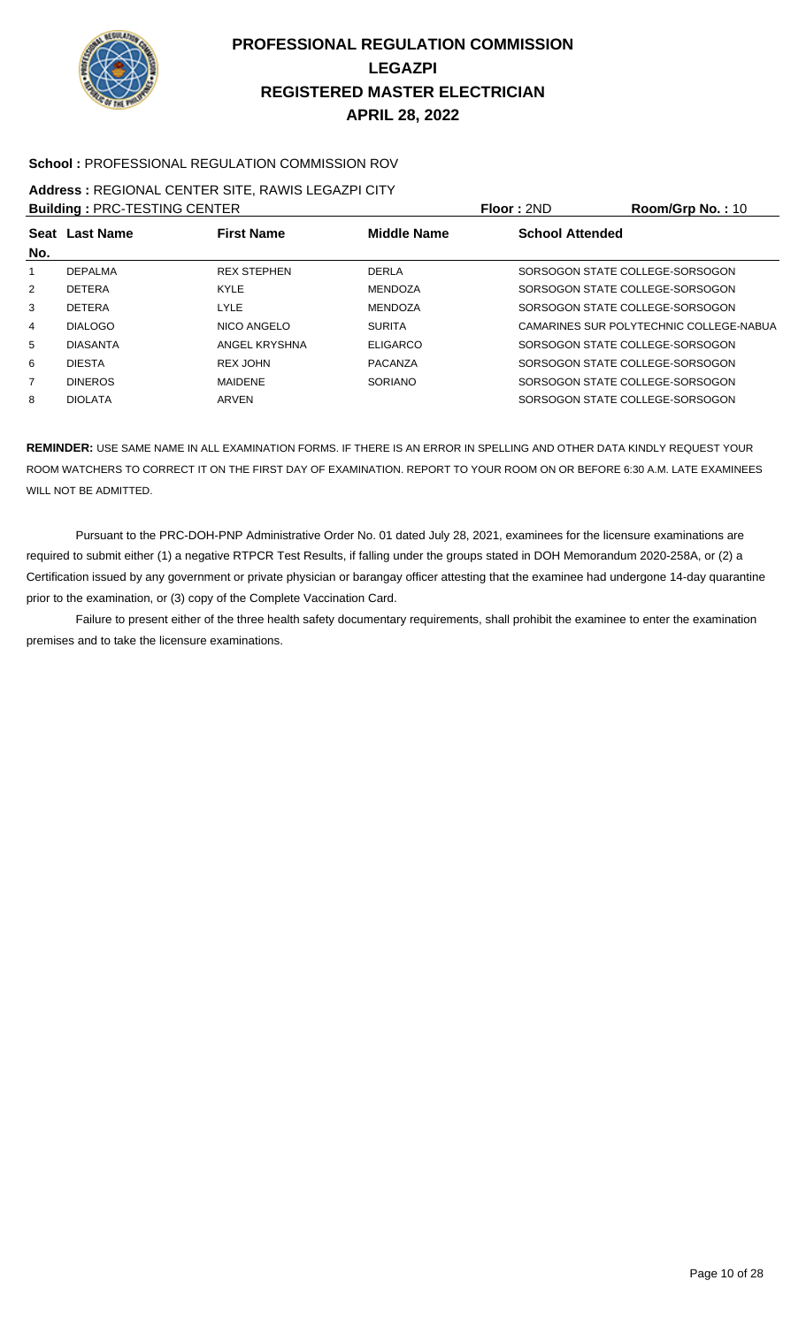

#### **School :** PROFESSIONAL REGULATION COMMISSION ROV

### **Address :** REGIONAL CENTER SITE, RAWIS LEGAZPI CITY

| <b>Building: PRC-TESTING CENTER</b> |                 |                    |                    | Floor: 2ND             | Room/Grp No.: 10                        |
|-------------------------------------|-----------------|--------------------|--------------------|------------------------|-----------------------------------------|
|                                     | Seat Last Name  | <b>First Name</b>  | <b>Middle Name</b> | <b>School Attended</b> |                                         |
| No.                                 |                 |                    |                    |                        |                                         |
|                                     | <b>DEPALMA</b>  | <b>REX STEPHEN</b> | <b>DERLA</b>       |                        | SORSOGON STATE COLLEGE-SORSOGON         |
| 2                                   | <b>DETERA</b>   | <b>KYLE</b>        | <b>MENDOZA</b>     |                        | SORSOGON STATE COLLEGE-SORSOGON         |
| 3                                   | <b>DETERA</b>   | LYLE               | <b>MENDOZA</b>     |                        | SORSOGON STATE COLLEGE-SORSOGON         |
| $\overline{4}$                      | <b>DIALOGO</b>  | NICO ANGELO        | <b>SURITA</b>      |                        | CAMARINES SUR POLYTECHNIC COLLEGE-NABUA |
| 5                                   | <b>DIASANTA</b> | ANGEL KRYSHNA      | <b>ELIGARCO</b>    |                        | SORSOGON STATE COLLEGE-SORSOGON         |
| 6                                   | <b>DIESTA</b>   | REX JOHN           | PACANZA            |                        | SORSOGON STATE COLLEGE-SORSOGON         |
| 7                                   | <b>DINEROS</b>  | <b>MAIDENE</b>     | SORIANO            |                        | SORSOGON STATE COLLEGE-SORSOGON         |
| 8                                   | <b>DIOLATA</b>  | ARVEN              |                    |                        | SORSOGON STATE COLLEGE-SORSOGON         |

**REMINDER:** USE SAME NAME IN ALL EXAMINATION FORMS. IF THERE IS AN ERROR IN SPELLING AND OTHER DATA KINDLY REQUEST YOUR ROOM WATCHERS TO CORRECT IT ON THE FIRST DAY OF EXAMINATION. REPORT TO YOUR ROOM ON OR BEFORE 6:30 A.M. LATE EXAMINEES WILL NOT BE ADMITTED.

 Pursuant to the PRC-DOH-PNP Administrative Order No. 01 dated July 28, 2021, examinees for the licensure examinations are required to submit either (1) a negative RTPCR Test Results, if falling under the groups stated in DOH Memorandum 2020-258A, or (2) a Certification issued by any government or private physician or barangay officer attesting that the examinee had undergone 14-day quarantine prior to the examination, or (3) copy of the Complete Vaccination Card.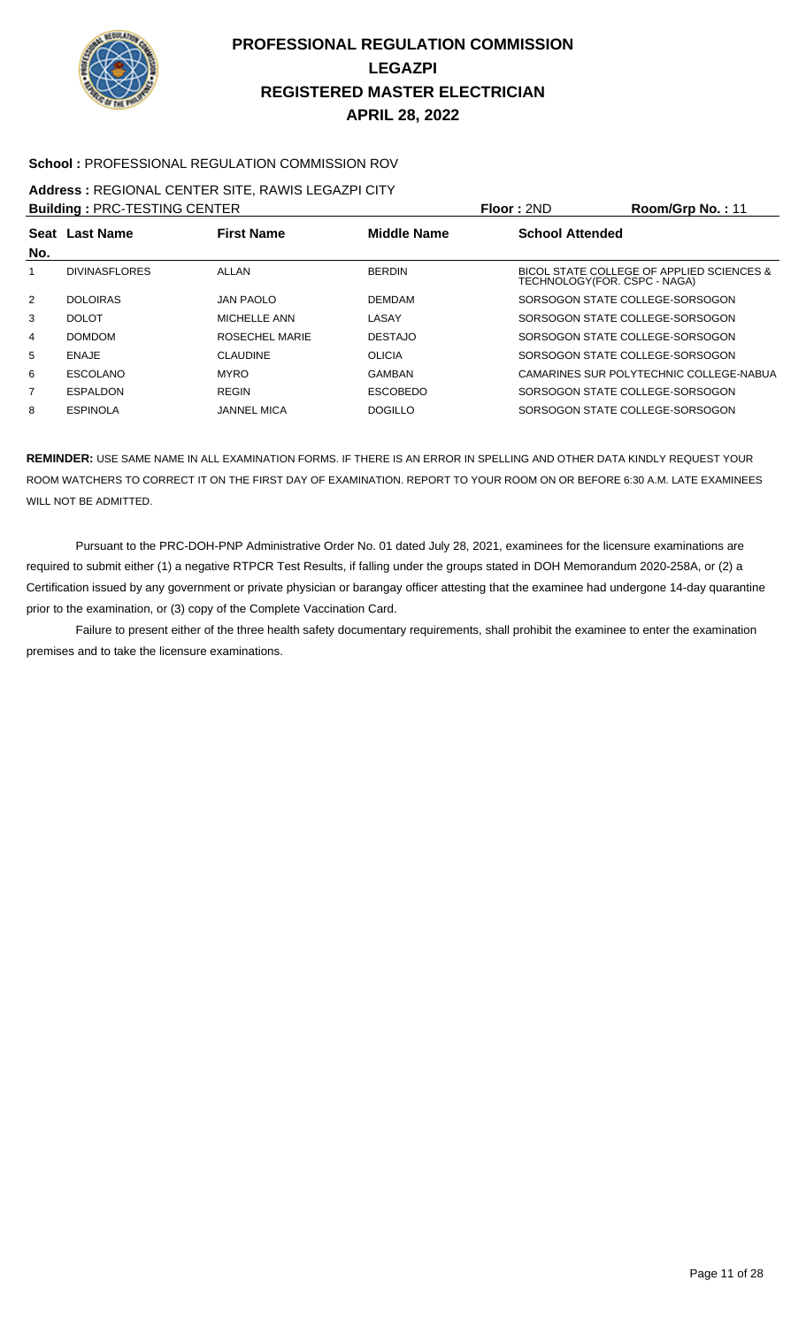

#### **School :** PROFESSIONAL REGULATION COMMISSION ROV

#### **Address :** REGIONAL CENTER SITE, RAWIS LEGAZPI CITY

**Building : PRC-TESTING CENTER Floor : 2ND Room/Grp No. : 11 Seat** Last Name **No. Last Name First Name Middle Name School Attended** DIVINASFLORES ALLAN BERDIN BICOL STATE COLLEGE OF APPLIED SCIENCES & TECHNOLOGY(FOR. CSPC - NAGA) DOLOIRAS JAN PAOLO DEMDAM SORSOGON STATE COLLEGE-SORSOGON DOLOT MICHELLE ANN LASAY SORSOGON STATE COLLEGE-SORSOGON DOMDOM ROSECHEL MARIE DESTAJO SORSOGON STATE COLLEGE-SORSOGON ENAJE CLAUDINE OLICIA SORSOGON STATE COLLEGE-SORSOGON ESCOLANO MYRO GAMBAN CAMARINES SUR POLYTECHNIC COLLEGE-NABUA ESPALDON REGIN ESCOBEDO SORSOGON STATE COLLEGE-SORSOGON ESPINOLA JANNEL MICA DOGILLO SORSOGON STATE COLLEGE-SORSOGON

**REMINDER:** USE SAME NAME IN ALL EXAMINATION FORMS. IF THERE IS AN ERROR IN SPELLING AND OTHER DATA KINDLY REQUEST YOUR ROOM WATCHERS TO CORRECT IT ON THE FIRST DAY OF EXAMINATION. REPORT TO YOUR ROOM ON OR BEFORE 6:30 A.M. LATE EXAMINEES WILL NOT BE ADMITTED.

 Pursuant to the PRC-DOH-PNP Administrative Order No. 01 dated July 28, 2021, examinees for the licensure examinations are required to submit either (1) a negative RTPCR Test Results, if falling under the groups stated in DOH Memorandum 2020-258A, or (2) a Certification issued by any government or private physician or barangay officer attesting that the examinee had undergone 14-day quarantine prior to the examination, or (3) copy of the Complete Vaccination Card.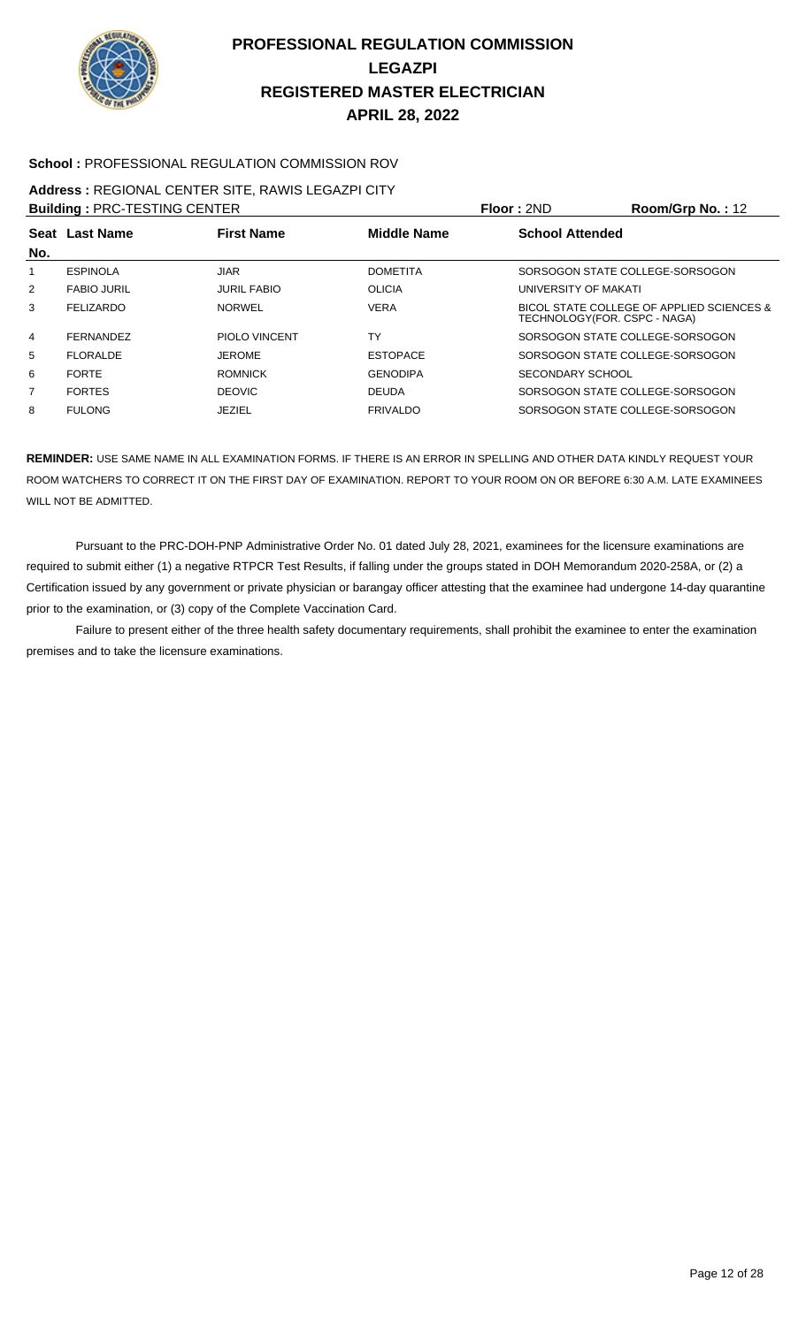

#### **School :** PROFESSIONAL REGULATION COMMISSION ROV

### **Address :** REGIONAL CENTER SITE, RAWIS LEGAZPI CITY

**Building :** PRC-TESTING CENTER **Floor :** 2ND **Room/Grp No. :** 12

| No. | Seat Last Name     | <b>First Name</b>    | <b>Middle Name</b> | <b>School Attended</b>                                                    |  |
|-----|--------------------|----------------------|--------------------|---------------------------------------------------------------------------|--|
| 1   | <b>ESPINOLA</b>    | <b>JIAR</b>          | <b>DOMETITA</b>    | SORSOGON STATE COLLEGE-SORSOGON                                           |  |
| 2   | <b>FABIO JURIL</b> | <b>JURIL FABIO</b>   | <b>OLICIA</b>      | UNIVERSITY OF MAKATI                                                      |  |
| 3   | <b>FELIZARDO</b>   | <b>NORWEL</b>        | <b>VERA</b>        | BICOL STATE COLLEGE OF APPLIED SCIENCES &<br>TECHNOLOGY(FOR. CSPC - NAGA) |  |
| 4   | <b>FERNANDEZ</b>   | <b>PIOLO VINCENT</b> | TY                 | SORSOGON STATE COLLEGE-SORSOGON                                           |  |
| 5   | <b>FLORALDE</b>    | <b>JEROME</b>        | <b>ESTOPACE</b>    | SORSOGON STATE COLLEGE-SORSOGON                                           |  |
| 6   | <b>FORTE</b>       | <b>ROMNICK</b>       | <b>GENODIPA</b>    | SECONDARY SCHOOL                                                          |  |
| 7   | <b>FORTES</b>      | <b>DEOVIC</b>        | <b>DEUDA</b>       | SORSOGON STATE COLLEGE-SORSOGON                                           |  |
| 8   | <b>FULONG</b>      | JEZIEL               | <b>FRIVALDO</b>    | SORSOGON STATE COLLEGE-SORSOGON                                           |  |
|     |                    |                      |                    |                                                                           |  |

**REMINDER:** USE SAME NAME IN ALL EXAMINATION FORMS. IF THERE IS AN ERROR IN SPELLING AND OTHER DATA KINDLY REQUEST YOUR ROOM WATCHERS TO CORRECT IT ON THE FIRST DAY OF EXAMINATION. REPORT TO YOUR ROOM ON OR BEFORE 6:30 A.M. LATE EXAMINEES WILL NOT BE ADMITTED.

 Pursuant to the PRC-DOH-PNP Administrative Order No. 01 dated July 28, 2021, examinees for the licensure examinations are required to submit either (1) a negative RTPCR Test Results, if falling under the groups stated in DOH Memorandum 2020-258A, or (2) a Certification issued by any government or private physician or barangay officer attesting that the examinee had undergone 14-day quarantine prior to the examination, or (3) copy of the Complete Vaccination Card.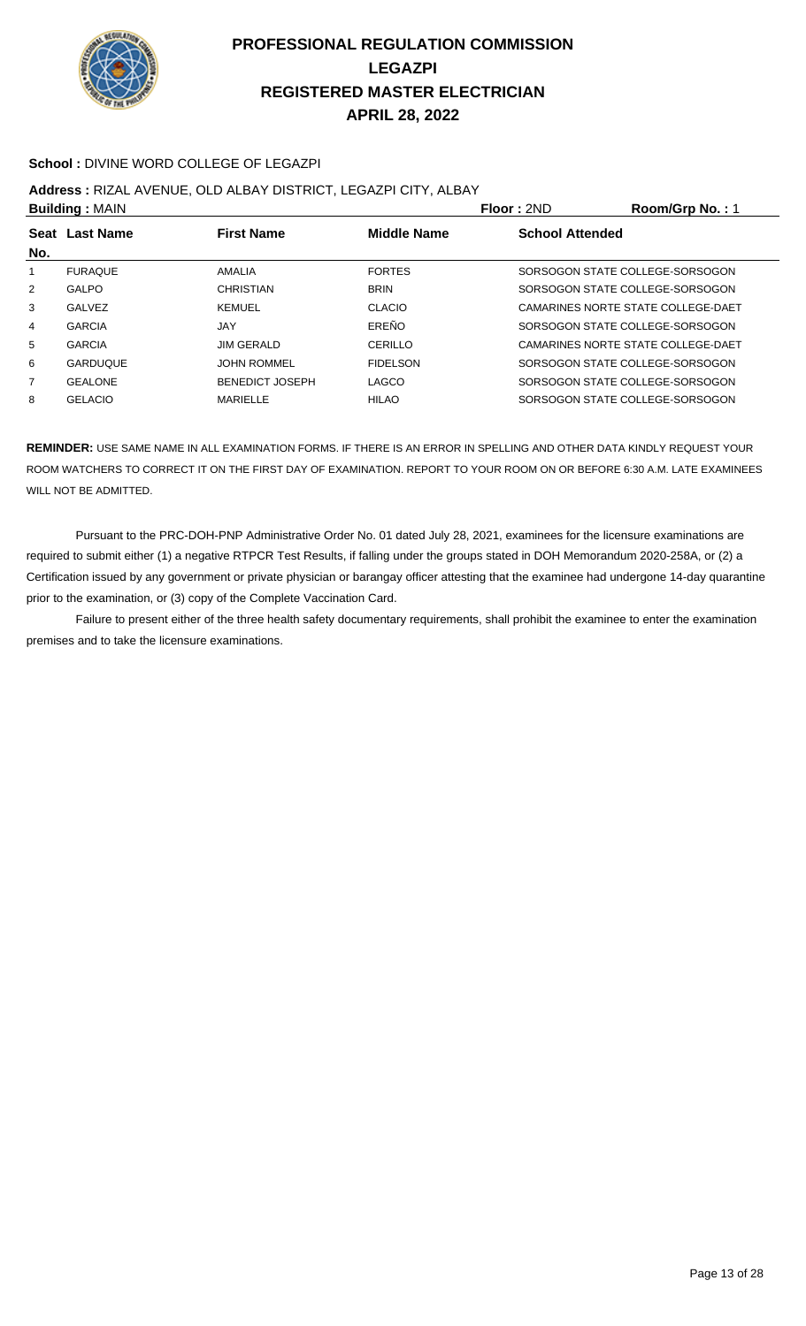

#### **School :** DIVINE WORD COLLEGE OF LEGAZPI

#### **Address :** RIZAL AVENUE, OLD ALBAY DISTRICT, LEGAZPI CITY, ALBAY

| <b>Building: MAIN</b> |                 |                        |                    | Floor: 2ND                      | Room/Grp No.: 1                    |
|-----------------------|-----------------|------------------------|--------------------|---------------------------------|------------------------------------|
|                       | Seat Last Name  | <b>First Name</b>      | <b>Middle Name</b> | <b>School Attended</b>          |                                    |
| No.                   |                 |                        |                    |                                 |                                    |
| 1                     | <b>FURAQUE</b>  | AMALIA                 | <b>FORTES</b>      | SORSOGON STATE COLLEGE-SORSOGON |                                    |
| 2                     | GALPO           | <b>CHRISTIAN</b>       | <b>BRIN</b>        | SORSOGON STATE COLLEGE-SORSOGON |                                    |
| 3                     | <b>GALVEZ</b>   | <b>KEMUEL</b>          | CLACIO             |                                 | CAMARINES NORTE STATE COLLEGE-DAET |
| 4                     | <b>GARCIA</b>   | JAY                    | EREÑO              | SORSOGON STATE COLLEGE-SORSOGON |                                    |
| 5                     | <b>GARCIA</b>   | <b>JIM GERALD</b>      | CERILLO            |                                 | CAMARINES NORTE STATE COLLEGE-DAET |
| 6                     | <b>GARDUQUE</b> | <b>JOHN ROMMEL</b>     | <b>FIDELSON</b>    | SORSOGON STATE COLLEGE-SORSOGON |                                    |
| $\overline{7}$        | <b>GEALONE</b>  | <b>BENEDICT JOSEPH</b> | LAGCO              | SORSOGON STATE COLLEGE-SORSOGON |                                    |
| 8                     | <b>GELACIO</b>  | <b>MARIELLE</b>        | <b>HILAO</b>       | SORSOGON STATE COLLEGE-SORSOGON |                                    |

**REMINDER:** USE SAME NAME IN ALL EXAMINATION FORMS. IF THERE IS AN ERROR IN SPELLING AND OTHER DATA KINDLY REQUEST YOUR ROOM WATCHERS TO CORRECT IT ON THE FIRST DAY OF EXAMINATION. REPORT TO YOUR ROOM ON OR BEFORE 6:30 A.M. LATE EXAMINEES WILL NOT BE ADMITTED.

 Pursuant to the PRC-DOH-PNP Administrative Order No. 01 dated July 28, 2021, examinees for the licensure examinations are required to submit either (1) a negative RTPCR Test Results, if falling under the groups stated in DOH Memorandum 2020-258A, or (2) a Certification issued by any government or private physician or barangay officer attesting that the examinee had undergone 14-day quarantine prior to the examination, or (3) copy of the Complete Vaccination Card.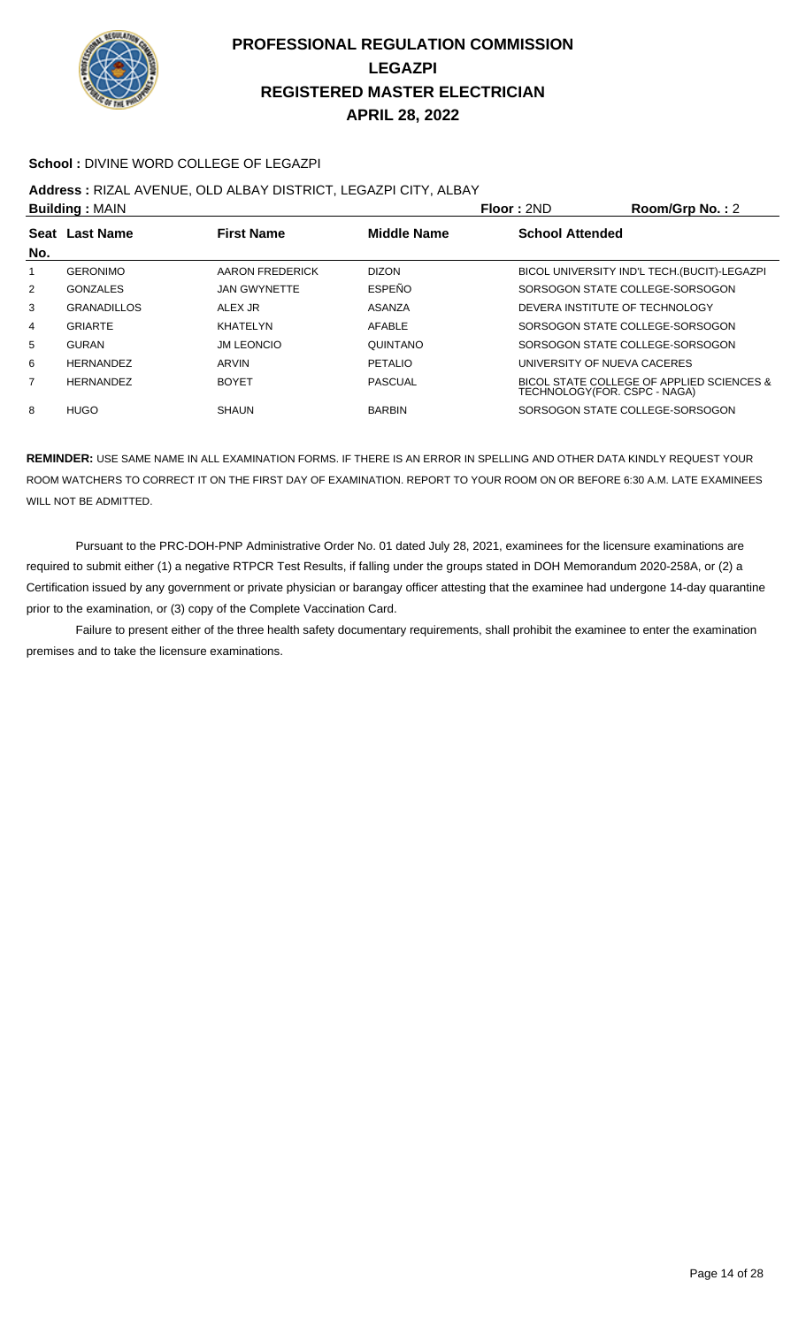

#### School : DIVINE WORD COLLEGE OF LEGAZPI

**Address :** RIZAL AVENUE, OLD ALBAY DISTRICT, LEGAZPI CITY, ALBAY

| <b>Building: MAIN</b> |                    |                     |                | Floor: 2ND                      | Room/Grp No.: 2                              |
|-----------------------|--------------------|---------------------|----------------|---------------------------------|----------------------------------------------|
| No.                   | Seat Last Name     | <b>First Name</b>   | Middle Name    | <b>School Attended</b>          |                                              |
|                       | <b>GERONIMO</b>    | AARON FREDERICK     | <b>DIZON</b>   |                                 | BICOL UNIVERSITY IND'L TECH. (BUCIT)-LEGAZPI |
| $\overline{2}$        | <b>GONZALES</b>    | <b>JAN GWYNETTE</b> | <b>ESPEÑO</b>  | SORSOGON STATE COLLEGE-SORSOGON |                                              |
| 3                     | <b>GRANADILLOS</b> | AI FX JR            | ASANZA         | DEVERA INSTITUTE OF TECHNOLOGY  |                                              |
| 4                     | <b>GRIARTE</b>     | KHATELYN            | AFABLE         | SORSOGON STATE COLLEGE-SORSOGON |                                              |
| 5                     | <b>GURAN</b>       | <b>JM LEONCIO</b>   | QUINTANO       | SORSOGON STATE COLLEGE-SORSOGON |                                              |
| 6                     | <b>HERNANDEZ</b>   | ARVIN               | <b>PETALIO</b> | UNIVERSITY OF NUEVA CACERES     |                                              |
| $\overline{7}$        | <b>HERNANDEZ</b>   | <b>BOYET</b>        | <b>PASCUAL</b> | TECHNOLOGY(FOR. CSPC - NAGA)    | BICOL STATE COLLEGE OF APPLIED SCIENCES &    |
| 8                     | HUGO               | <b>SHAUN</b>        | <b>BARBIN</b>  | SORSOGON STATE COLLEGE-SORSOGON |                                              |
|                       |                    |                     |                |                                 |                                              |

**REMINDER:** USE SAME NAME IN ALL EXAMINATION FORMS. IF THERE IS AN ERROR IN SPELLING AND OTHER DATA KINDLY REQUEST YOUR ROOM WATCHERS TO CORRECT IT ON THE FIRST DAY OF EXAMINATION. REPORT TO YOUR ROOM ON OR BEFORE 6:30 A.M. LATE EXAMINEES WILL NOT BE ADMITTED.

 Pursuant to the PRC-DOH-PNP Administrative Order No. 01 dated July 28, 2021, examinees for the licensure examinations are required to submit either (1) a negative RTPCR Test Results, if falling under the groups stated in DOH Memorandum 2020-258A, or (2) a Certification issued by any government or private physician or barangay officer attesting that the examinee had undergone 14-day quarantine prior to the examination, or (3) copy of the Complete Vaccination Card.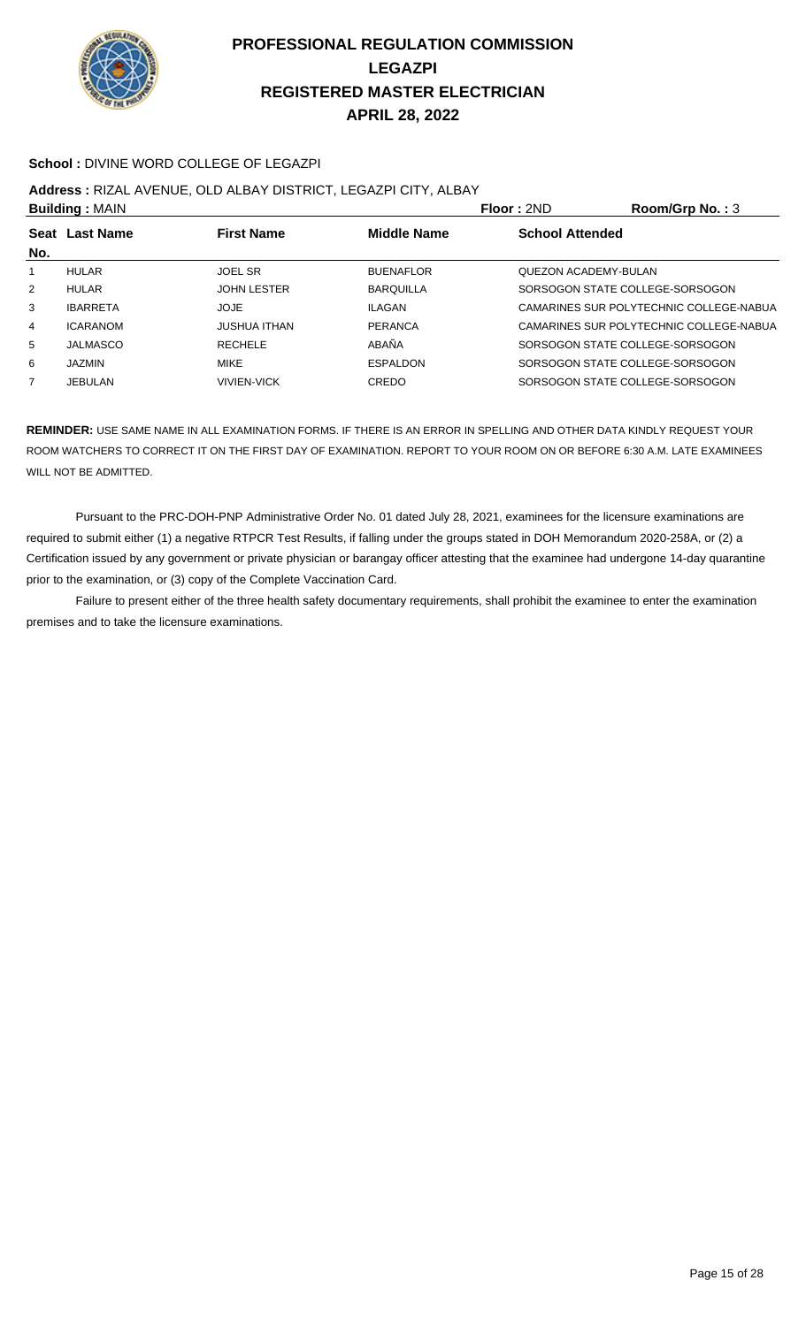

#### **School :** DIVINE WORD COLLEGE OF LEGAZPI

### **Address :** RIZAL AVENUE, OLD ALBAY DISTRICT, LEGAZPI CITY, ALBAY

| <b>Building: MAIN</b>                                            |                     |                  |                             | Room/Grp No.: $3$                       |  |
|------------------------------------------------------------------|---------------------|------------------|-----------------------------|-----------------------------------------|--|
| <b>Middle Name</b><br><b>First Name</b><br>Seat Last Name<br>No. |                     |                  | <b>School Attended</b>      |                                         |  |
|                                                                  |                     |                  |                             |                                         |  |
| HULAR                                                            | <b>JOEL SR</b>      | <b>BUENAFLOR</b> | <b>QUEZON ACADEMY-BULAN</b> |                                         |  |
| <b>HULAR</b>                                                     | <b>JOHN LESTER</b>  | <b>BARQUILLA</b> |                             | SORSOGON STATE COLLEGE-SORSOGON         |  |
| <b>IBARRETA</b>                                                  | JOJE                | ILAGAN           |                             | CAMARINES SUR POLYTECHNIC COLLEGE-NABUA |  |
| <b>ICARANOM</b>                                                  | <b>JUSHUA ITHAN</b> | PERANCA          |                             | CAMARINES SUR POLYTECHNIC COLLEGE-NABUA |  |
| <b>JALMASCO</b>                                                  | <b>RECHELE</b>      | ABAÑA            |                             | SORSOGON STATE COLLEGE-SORSOGON         |  |
| <b>JAZMIN</b>                                                    | <b>MIKE</b>         | <b>ESPALDON</b>  |                             | SORSOGON STATE COLLEGE-SORSOGON         |  |
| <b>JEBULAN</b>                                                   | <b>VIVIEN-VICK</b>  | CREDO            |                             | SORSOGON STATE COLLEGE-SORSOGON         |  |
|                                                                  |                     |                  |                             | <b>Floor: 2ND</b>                       |  |

**REMINDER:** USE SAME NAME IN ALL EXAMINATION FORMS. IF THERE IS AN ERROR IN SPELLING AND OTHER DATA KINDLY REQUEST YOUR ROOM WATCHERS TO CORRECT IT ON THE FIRST DAY OF EXAMINATION. REPORT TO YOUR ROOM ON OR BEFORE 6:30 A.M. LATE EXAMINEES WILL NOT BE ADMITTED.

 Pursuant to the PRC-DOH-PNP Administrative Order No. 01 dated July 28, 2021, examinees for the licensure examinations are required to submit either (1) a negative RTPCR Test Results, if falling under the groups stated in DOH Memorandum 2020-258A, or (2) a Certification issued by any government or private physician or barangay officer attesting that the examinee had undergone 14-day quarantine prior to the examination, or (3) copy of the Complete Vaccination Card.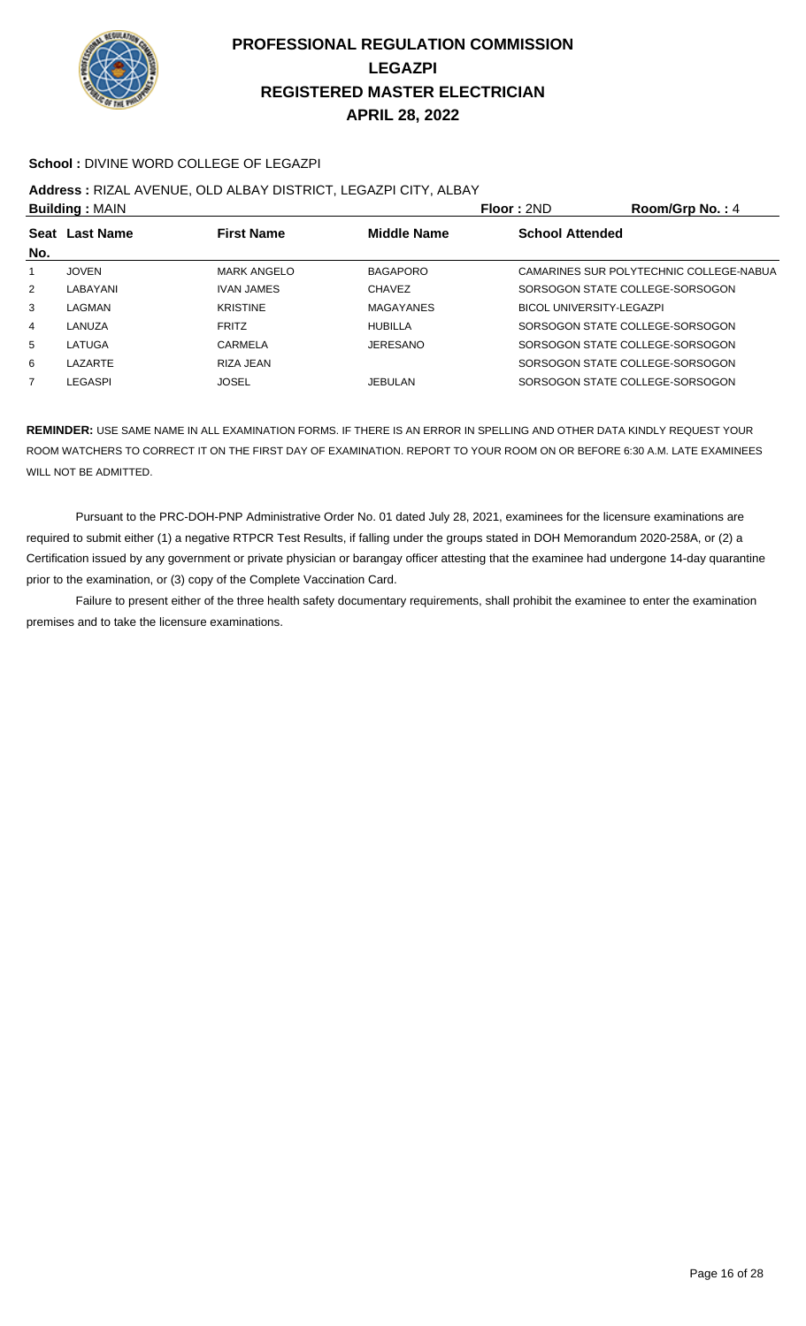

#### **School :** DIVINE WORD COLLEGE OF LEGAZPI

### **Address :** RIZAL AVENUE, OLD ALBAY DISTRICT, LEGAZPI CITY, ALBAY

| <b>Building: MAIN</b> |                                                           |                    | Floor: 2ND       | Room/Grp No.: 4                 |                                         |
|-----------------------|-----------------------------------------------------------|--------------------|------------------|---------------------------------|-----------------------------------------|
|                       | <b>First Name</b><br><b>Middle Name</b><br>Seat Last Name |                    |                  | <b>School Attended</b>          |                                         |
| No.                   |                                                           |                    |                  |                                 |                                         |
|                       | <b>JOVEN</b>                                              | <b>MARK ANGELO</b> | <b>BAGAPORO</b>  |                                 | CAMARINES SUR POLYTECHNIC COLLEGE-NABUA |
| 2                     | LABAYANI                                                  | <b>IVAN JAMES</b>  | <b>CHAVEZ</b>    |                                 | SORSOGON STATE COLLEGE-SORSOGON         |
| 3                     | LAGMAN                                                    | <b>KRISTINE</b>    | <b>MAGAYANES</b> | <b>BICOL UNIVERSITY-LEGAZPI</b> |                                         |
| 4                     | LANUZA                                                    | <b>FRITZ</b>       | HUBILLA          |                                 | SORSOGON STATE COLLEGE-SORSOGON         |
| 5                     | LATUGA                                                    | CARMELA            | <b>JERESANO</b>  |                                 | SORSOGON STATE COLLEGE-SORSOGON         |
| 6                     | LAZARTE                                                   | RIZA JEAN          |                  |                                 | SORSOGON STATE COLLEGE-SORSOGON         |
| 7                     | LEGASPI                                                   | JOSEL              | <b>JEBULAN</b>   |                                 | SORSOGON STATE COLLEGE-SORSOGON         |
|                       |                                                           |                    |                  |                                 |                                         |

**REMINDER:** USE SAME NAME IN ALL EXAMINATION FORMS. IF THERE IS AN ERROR IN SPELLING AND OTHER DATA KINDLY REQUEST YOUR ROOM WATCHERS TO CORRECT IT ON THE FIRST DAY OF EXAMINATION. REPORT TO YOUR ROOM ON OR BEFORE 6:30 A.M. LATE EXAMINEES WILL NOT BE ADMITTED.

 Pursuant to the PRC-DOH-PNP Administrative Order No. 01 dated July 28, 2021, examinees for the licensure examinations are required to submit either (1) a negative RTPCR Test Results, if falling under the groups stated in DOH Memorandum 2020-258A, or (2) a Certification issued by any government or private physician or barangay officer attesting that the examinee had undergone 14-day quarantine prior to the examination, or (3) copy of the Complete Vaccination Card.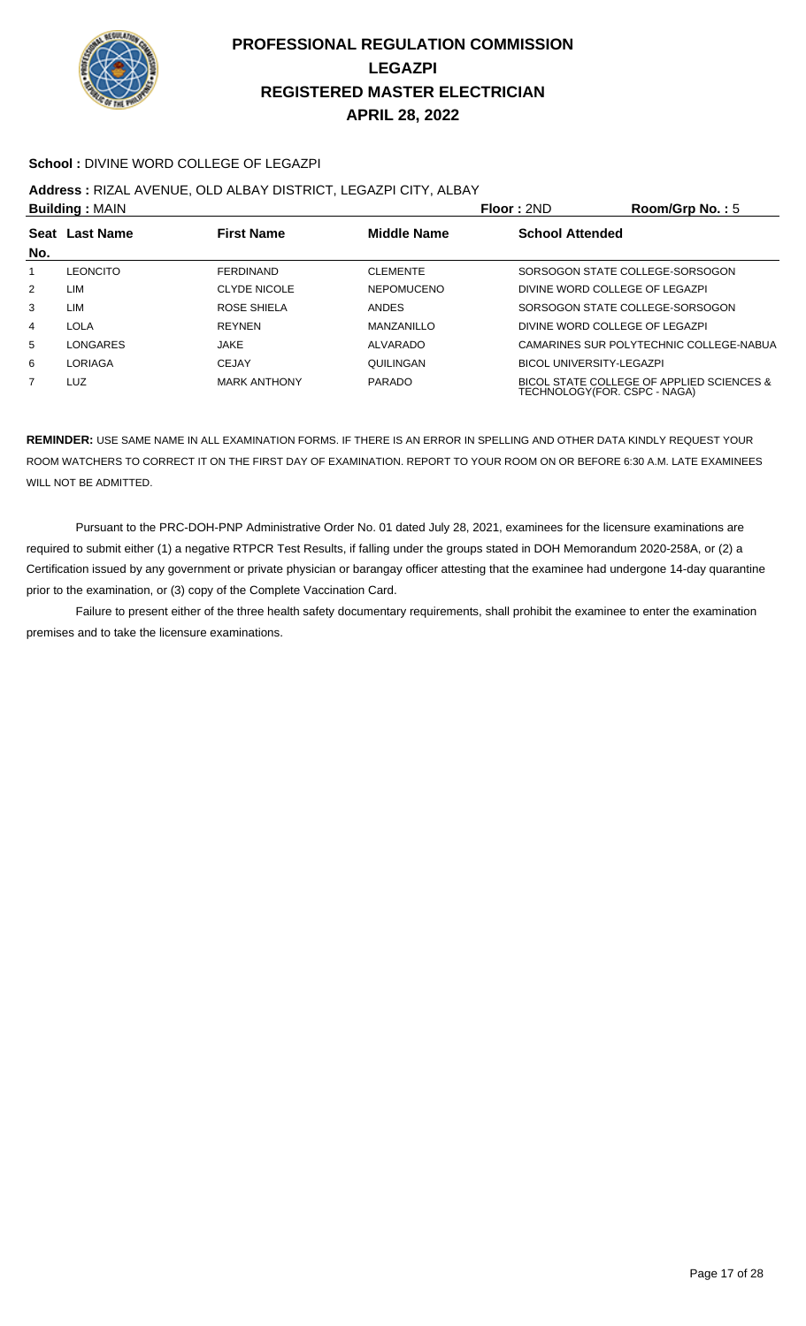

#### **School :** DIVINE WORD COLLEGE OF LEGAZPI

**Address :** RIZAL AVENUE, OLD ALBAY DISTRICT, LEGAZPI CITY, ALBAY

| <b>Building: MAIN</b> |                                                    |                     | Floor: 2ND        | Room/Grp No.: $5$              |                                                                           |
|-----------------------|----------------------------------------------------|---------------------|-------------------|--------------------------------|---------------------------------------------------------------------------|
|                       | Middle Name<br>Seat Last Name<br><b>First Name</b> |                     |                   | <b>School Attended</b>         |                                                                           |
| No.                   |                                                    |                     |                   |                                |                                                                           |
| 1                     | LEONCITO                                           | <b>FERDINAND</b>    | <b>CLEMENTE</b>   |                                | SORSOGON STATE COLLEGE-SORSOGON                                           |
| 2                     | LIM                                                | <b>CLYDE NICOLE</b> | <b>NEPOMUCENO</b> | DIVINE WORD COLLEGE OF LEGAZPI |                                                                           |
| 3                     | LIM                                                | ROSE SHIELA         | <b>ANDES</b>      |                                | SORSOGON STATE COLLEGE-SORSOGON                                           |
| 4                     | LOLA                                               | <b>REYNEN</b>       | MANZANILLO        |                                | DIVINE WORD COLLEGE OF LEGAZPI                                            |
| 5                     | LONGARES                                           | JAKE                | ALVARADO          |                                | CAMARINES SUR POLYTECHNIC COLLEGE-NABUA                                   |
| 6                     | LORIAGA                                            | <b>CEJAY</b>        | QUILINGAN         | BICOL UNIVERSITY-LEGAZPI       |                                                                           |
| $\overline{7}$        | LUZ                                                | <b>MARK ANTHONY</b> | <b>PARADO</b>     |                                | BICOL STATE COLLEGE OF APPLIED SCIENCES &<br>TECHNOLOGY(FOR. CSPC - NAGA) |

**REMINDER:** USE SAME NAME IN ALL EXAMINATION FORMS. IF THERE IS AN ERROR IN SPELLING AND OTHER DATA KINDLY REQUEST YOUR ROOM WATCHERS TO CORRECT IT ON THE FIRST DAY OF EXAMINATION. REPORT TO YOUR ROOM ON OR BEFORE 6:30 A.M. LATE EXAMINEES WILL NOT BE ADMITTED.

 Pursuant to the PRC-DOH-PNP Administrative Order No. 01 dated July 28, 2021, examinees for the licensure examinations are required to submit either (1) a negative RTPCR Test Results, if falling under the groups stated in DOH Memorandum 2020-258A, or (2) a Certification issued by any government or private physician or barangay officer attesting that the examinee had undergone 14-day quarantine prior to the examination, or (3) copy of the Complete Vaccination Card.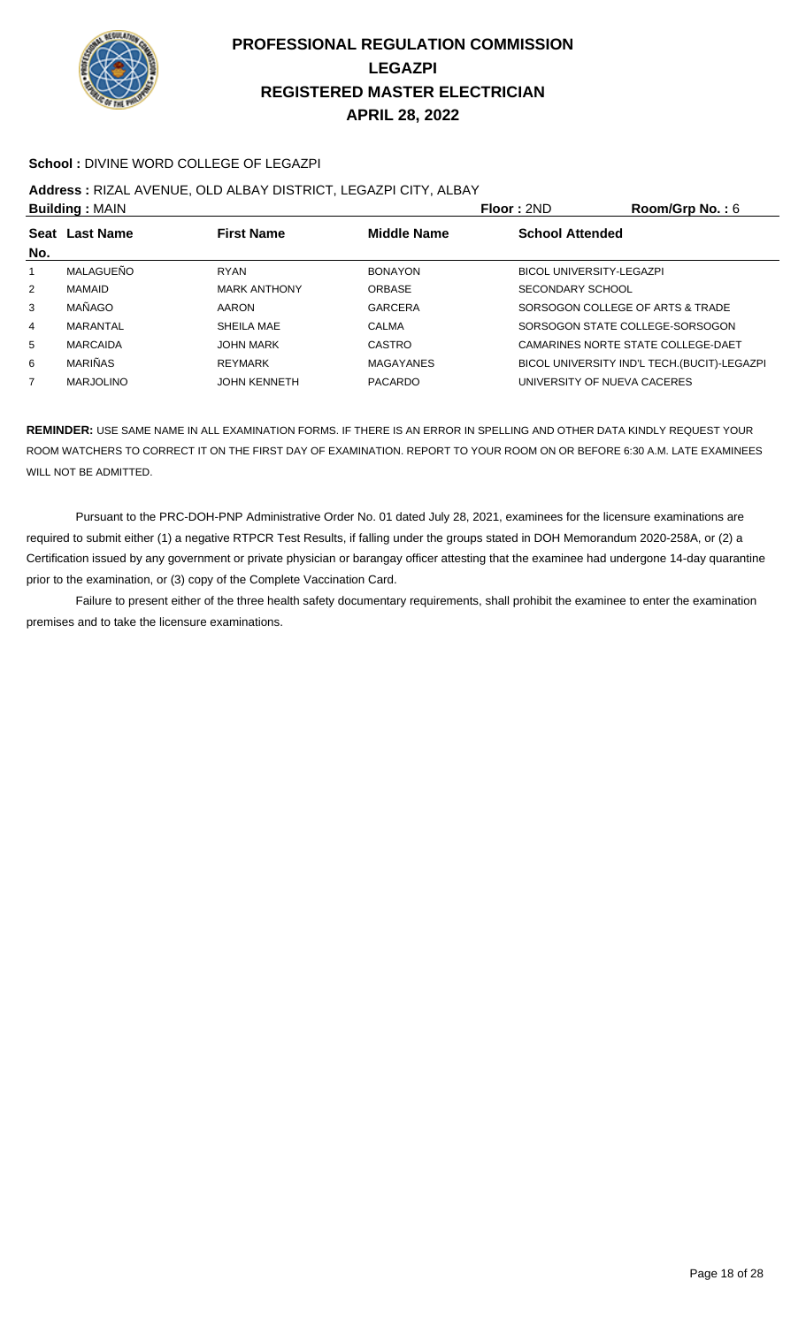

#### **School :** DIVINE WORD COLLEGE OF LEGAZPI

### **Address :** RIZAL AVENUE, OLD ALBAY DISTRICT, LEGAZPI CITY, ALBAY

| <b>Building: MAIN</b> |                  |                     |                    | <b>Floor: 2ND</b>                | Room/Grp No.: 6                              |
|-----------------------|------------------|---------------------|--------------------|----------------------------------|----------------------------------------------|
| No.                   | Seat Last Name   | <b>First Name</b>   | <b>Middle Name</b> | <b>School Attended</b>           |                                              |
|                       | MALAGUEÑO        | <b>RYAN</b>         | <b>BONAYON</b>     | <b>BICOL UNIVERSITY-LEGAZPI</b>  |                                              |
| $\overline{2}$        | MAMAID           | <b>MARK ANTHONY</b> | <b>ORBASE</b>      | SECONDARY SCHOOL                 |                                              |
| 3                     | MAÑAGO           | AARON               | <b>GARCERA</b>     | SORSOGON COLLEGE OF ARTS & TRADE |                                              |
| 4                     | MARANTAL         | SHEILA MAE          | CALMA              | SORSOGON STATE COLLEGE-SORSOGON  |                                              |
| 5                     | <b>MARCAIDA</b>  | <b>JOHN MARK</b>    | CASTRO             |                                  | CAMARINES NORTE STATE COLLEGE-DAET           |
| 6                     | <b>MARIÑAS</b>   | <b>REYMARK</b>      | <b>MAGAYANES</b>   |                                  | BICOL UNIVERSITY IND'L TECH. (BUCIT)-LEGAZPI |
| 7                     | <b>MARJOLINO</b> | <b>JOHN KENNETH</b> | <b>PACARDO</b>     | UNIVERSITY OF NUEVA CACERES      |                                              |

**REMINDER:** USE SAME NAME IN ALL EXAMINATION FORMS. IF THERE IS AN ERROR IN SPELLING AND OTHER DATA KINDLY REQUEST YOUR ROOM WATCHERS TO CORRECT IT ON THE FIRST DAY OF EXAMINATION. REPORT TO YOUR ROOM ON OR BEFORE 6:30 A.M. LATE EXAMINEES WILL NOT BE ADMITTED.

 Pursuant to the PRC-DOH-PNP Administrative Order No. 01 dated July 28, 2021, examinees for the licensure examinations are required to submit either (1) a negative RTPCR Test Results, if falling under the groups stated in DOH Memorandum 2020-258A, or (2) a Certification issued by any government or private physician or barangay officer attesting that the examinee had undergone 14-day quarantine prior to the examination, or (3) copy of the Complete Vaccination Card.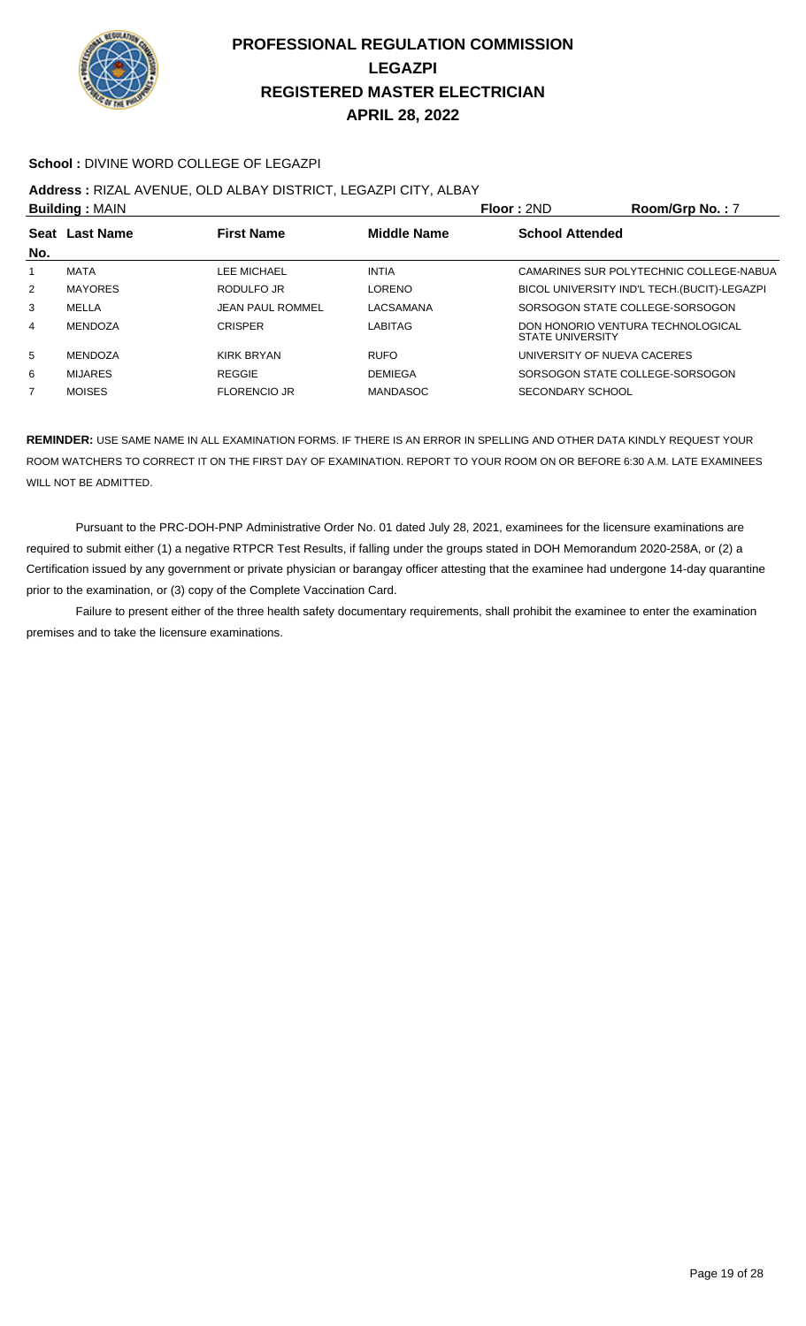

#### **School :** DIVINE WORD COLLEGE OF LEGAZPI

**Address :** RIZAL AVENUE, OLD ALBAY DISTRICT, LEGAZPI CITY, ALBAY

| <b>Building: MAIN</b> |                                                    |                         |                 | Floor: 2ND                  | Room/Grp No.: 7                              |
|-----------------------|----------------------------------------------------|-------------------------|-----------------|-----------------------------|----------------------------------------------|
|                       | Seat Last Name<br><b>First Name</b><br>Middle Name |                         |                 | <b>School Attended</b>      |                                              |
| No.                   |                                                    |                         |                 |                             |                                              |
| 1                     | MATA                                               | LEE MICHAEL             | <b>INTIA</b>    |                             | CAMARINES SUR POLYTECHNIC COLLEGE-NABUA      |
| 2                     | <b>MAYORES</b>                                     | RODULFO JR              | LORENO          |                             | BICOL UNIVERSITY IND'L TECH. (BUCIT)-LEGAZPI |
| 3                     | MELLA                                              | <b>JEAN PAUL ROMMEL</b> | LACSAMANA       |                             | SORSOGON STATE COLLEGE-SORSOGON              |
| $\overline{4}$        | MENDOZA                                            | <b>CRISPER</b>          | <b>LABITAG</b>  | <b>STATE UNIVERSITY</b>     | DON HONORIO VENTURA TECHNOLOGICAL            |
| 5                     | <b>MENDOZA</b>                                     | KIRK BRYAN              | <b>RUFO</b>     | UNIVERSITY OF NUEVA CACERES |                                              |
| 6                     | <b>MIJARES</b>                                     | <b>REGGIE</b>           | <b>DEMIEGA</b>  |                             | SORSOGON STATE COLLEGE-SORSOGON              |
| 7                     | <b>MOISES</b>                                      | <b>FLORENCIO JR</b>     | <b>MANDASOC</b> | SECONDARY SCHOOL            |                                              |
|                       |                                                    |                         |                 |                             |                                              |

**REMINDER:** USE SAME NAME IN ALL EXAMINATION FORMS. IF THERE IS AN ERROR IN SPELLING AND OTHER DATA KINDLY REQUEST YOUR ROOM WATCHERS TO CORRECT IT ON THE FIRST DAY OF EXAMINATION. REPORT TO YOUR ROOM ON OR BEFORE 6:30 A.M. LATE EXAMINEES WILL NOT BE ADMITTED.

 Pursuant to the PRC-DOH-PNP Administrative Order No. 01 dated July 28, 2021, examinees for the licensure examinations are required to submit either (1) a negative RTPCR Test Results, if falling under the groups stated in DOH Memorandum 2020-258A, or (2) a Certification issued by any government or private physician or barangay officer attesting that the examinee had undergone 14-day quarantine prior to the examination, or (3) copy of the Complete Vaccination Card.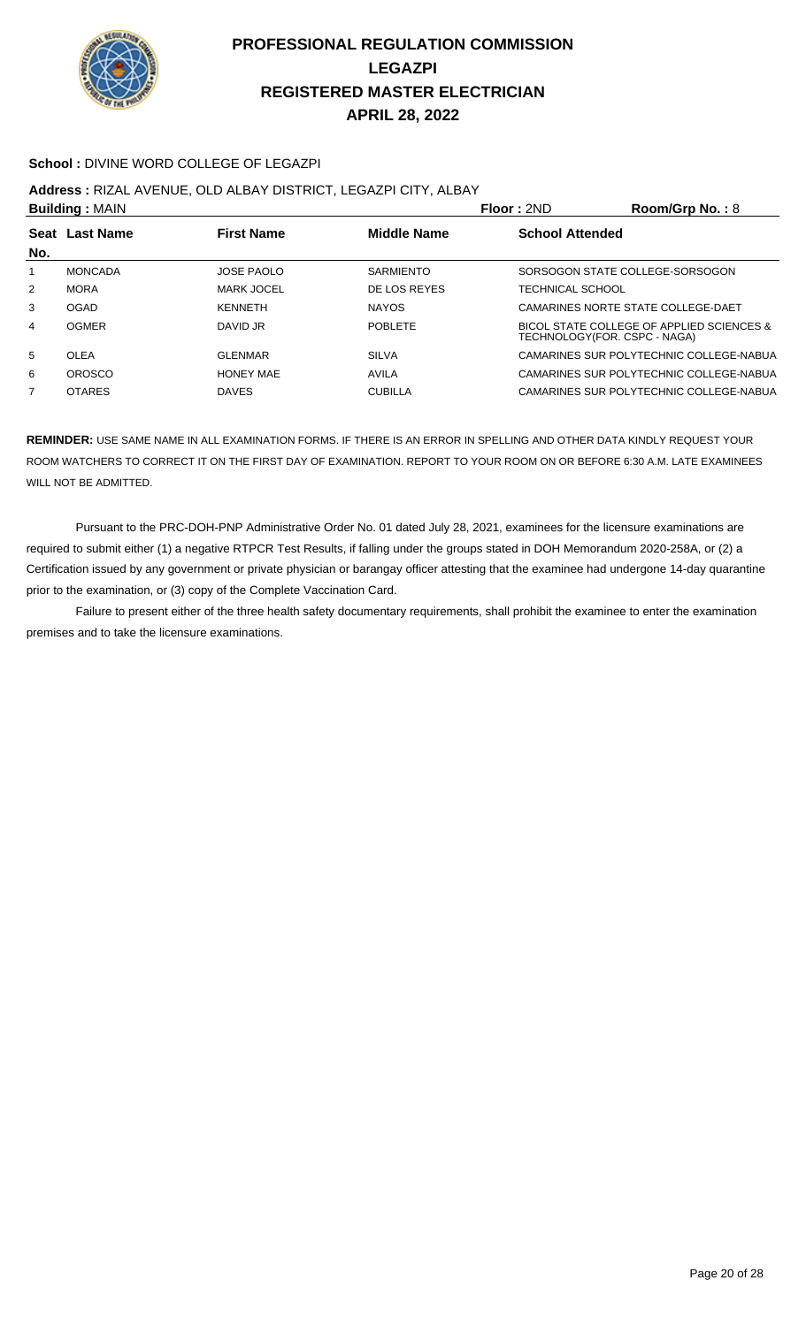

#### **School :** DIVINE WORD COLLEGE OF LEGAZPI

#### **Address :** RIZAL AVENUE, OLD ALBAY DISTRICT, LEGAZPI CITY, ALBAY

| <b>Building: MAIN</b>                                     |                   |                  |                              | Room/Grp No.: $8$                         |
|-----------------------------------------------------------|-------------------|------------------|------------------------------|-------------------------------------------|
| <b>First Name</b><br><b>Middle Name</b><br>Seat Last Name |                   |                  | <b>School Attended</b>       |                                           |
|                                                           |                   |                  |                              |                                           |
| <b>MONCADA</b>                                            | <b>JOSE PAOLO</b> | <b>SARMIENTO</b> |                              | SORSOGON STATE COLLEGE-SORSOGON           |
| <b>MORA</b>                                               | <b>MARK JOCEL</b> | DE LOS REYES     | TECHNICAL SCHOOL             |                                           |
| <b>OGAD</b>                                               | <b>KFNNFTH</b>    | <b>NAYOS</b>     |                              | CAMARINES NORTE STATE COLLEGE-DAET        |
| <b>OGMER</b>                                              | DAVID JR          | <b>POBLETE</b>   | TECHNOLOGY(FOR. CSPC - NAGA) | BICOL STATE COLLEGE OF APPLIED SCIENCES & |
| <b>OLEA</b>                                               | <b>GLENMAR</b>    | <b>SILVA</b>     |                              | CAMARINES SUR POLYTECHNIC COLLEGE-NABUA   |
| <b>OROSCO</b>                                             | HONFY MAF         | <b>AVILA</b>     |                              | CAMARINES SUR POLYTECHNIC COLLEGE-NABUA   |
| <b>OTARES</b>                                             | <b>DAVES</b>      | <b>CUBILLA</b>   |                              | CAMARINES SUR POLYTECHNIC COLLEGE-NABUA   |
|                                                           |                   |                  |                              | Floor: 2ND                                |

**REMINDER:** USE SAME NAME IN ALL EXAMINATION FORMS. IF THERE IS AN ERROR IN SPELLING AND OTHER DATA KINDLY REQUEST YOUR ROOM WATCHERS TO CORRECT IT ON THE FIRST DAY OF EXAMINATION. REPORT TO YOUR ROOM ON OR BEFORE 6:30 A.M. LATE EXAMINEES WILL NOT BE ADMITTED.

 Pursuant to the PRC-DOH-PNP Administrative Order No. 01 dated July 28, 2021, examinees for the licensure examinations are required to submit either (1) a negative RTPCR Test Results, if falling under the groups stated in DOH Memorandum 2020-258A, or (2) a Certification issued by any government or private physician or barangay officer attesting that the examinee had undergone 14-day quarantine prior to the examination, or (3) copy of the Complete Vaccination Card.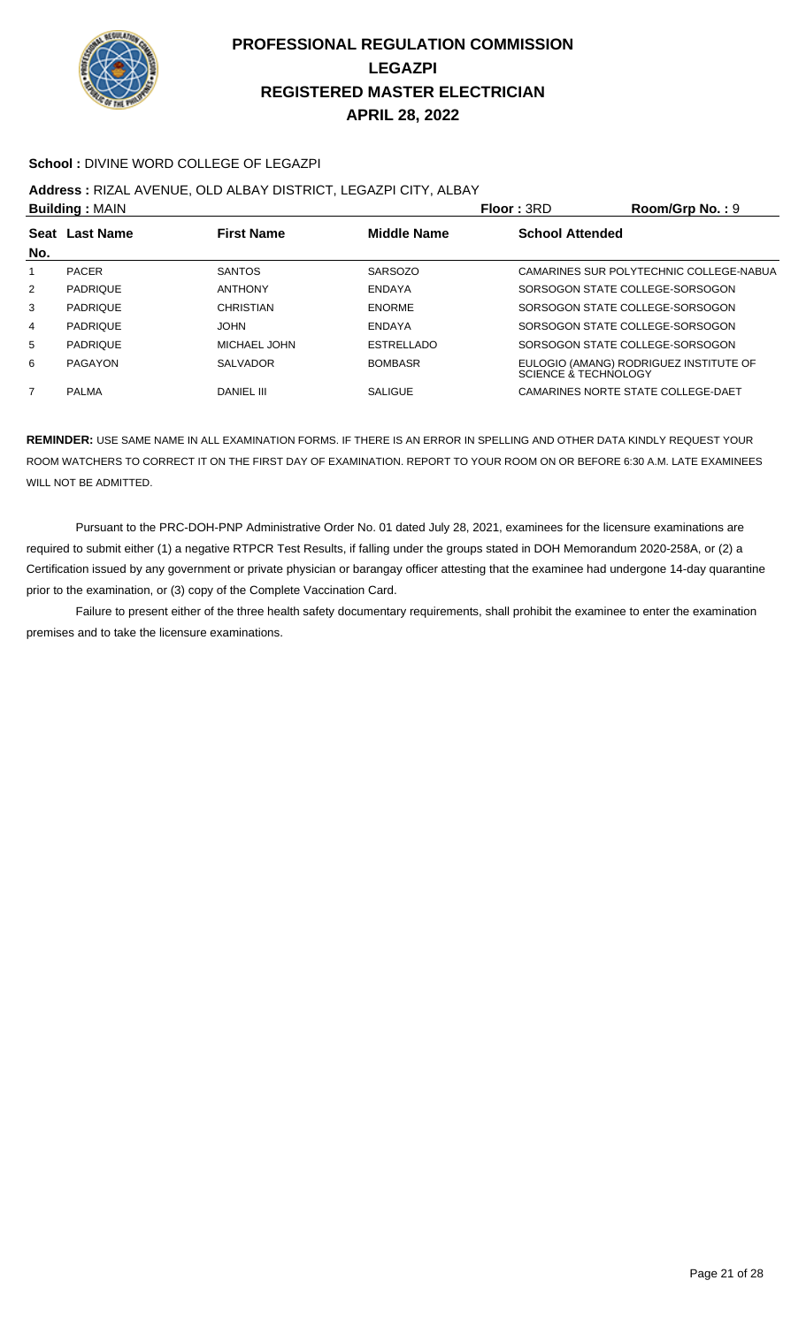

#### **School :** DIVINE WORD COLLEGE OF LEGAZPI

#### **Address :** RIZAL AVENUE, OLD ALBAY DISTRICT, LEGAZPI CITY, ALBAY

| <b>Building: MAIN</b> |                                                           |                   |                   | <b>Floor: 3RD</b>               | Room/Grp No.: 9                         |
|-----------------------|-----------------------------------------------------------|-------------------|-------------------|---------------------------------|-----------------------------------------|
|                       | <b>Middle Name</b><br>Seat Last Name<br><b>First Name</b> |                   |                   | <b>School Attended</b>          |                                         |
| No.                   |                                                           |                   |                   |                                 |                                         |
| 1                     | <b>PACER</b>                                              | <b>SANTOS</b>     | <b>SARSOZO</b>    |                                 | CAMARINES SUR POLYTECHNIC COLLEGE-NABUA |
| 2                     | <b>PADRIQUE</b>                                           | <b>ANTHONY</b>    | <b>ENDAYA</b>     |                                 | SORSOGON STATE COLLEGE-SORSOGON         |
| 3                     | <b>PADRIQUE</b>                                           | CHRISTIAN         | <b>ENORME</b>     |                                 | SORSOGON STATE COLLEGE-SORSOGON         |
| $\overline{4}$        | <b>PADRIQUE</b>                                           | <b>JOHN</b>       | <b>ENDAYA</b>     |                                 | SORSOGON STATE COLLEGE SORSOGON         |
| 5                     | <b>PADRIQUE</b>                                           | MICHAEL JOHN      | <b>ESTRELLADO</b> |                                 | SORSOGON STATE COLLEGE-SORSOGON         |
| 6                     | PAGAYON                                                   | <b>SALVADOR</b>   | <b>BOMBASR</b>    | <b>SCIENCE &amp; TECHNOLOGY</b> | EULOGIO (AMANG) RODRIGUEZ INSTITUTE OF  |
|                       | <b>PALMA</b>                                              | <b>DANIEL III</b> | <b>SALIGUE</b>    |                                 | CAMARINES NORTE STATE COLLEGE-DAET      |

**REMINDER:** USE SAME NAME IN ALL EXAMINATION FORMS. IF THERE IS AN ERROR IN SPELLING AND OTHER DATA KINDLY REQUEST YOUR ROOM WATCHERS TO CORRECT IT ON THE FIRST DAY OF EXAMINATION. REPORT TO YOUR ROOM ON OR BEFORE 6:30 A.M. LATE EXAMINEES WILL NOT BE ADMITTED.

 Pursuant to the PRC-DOH-PNP Administrative Order No. 01 dated July 28, 2021, examinees for the licensure examinations are required to submit either (1) a negative RTPCR Test Results, if falling under the groups stated in DOH Memorandum 2020-258A, or (2) a Certification issued by any government or private physician or barangay officer attesting that the examinee had undergone 14-day quarantine prior to the examination, or (3) copy of the Complete Vaccination Card.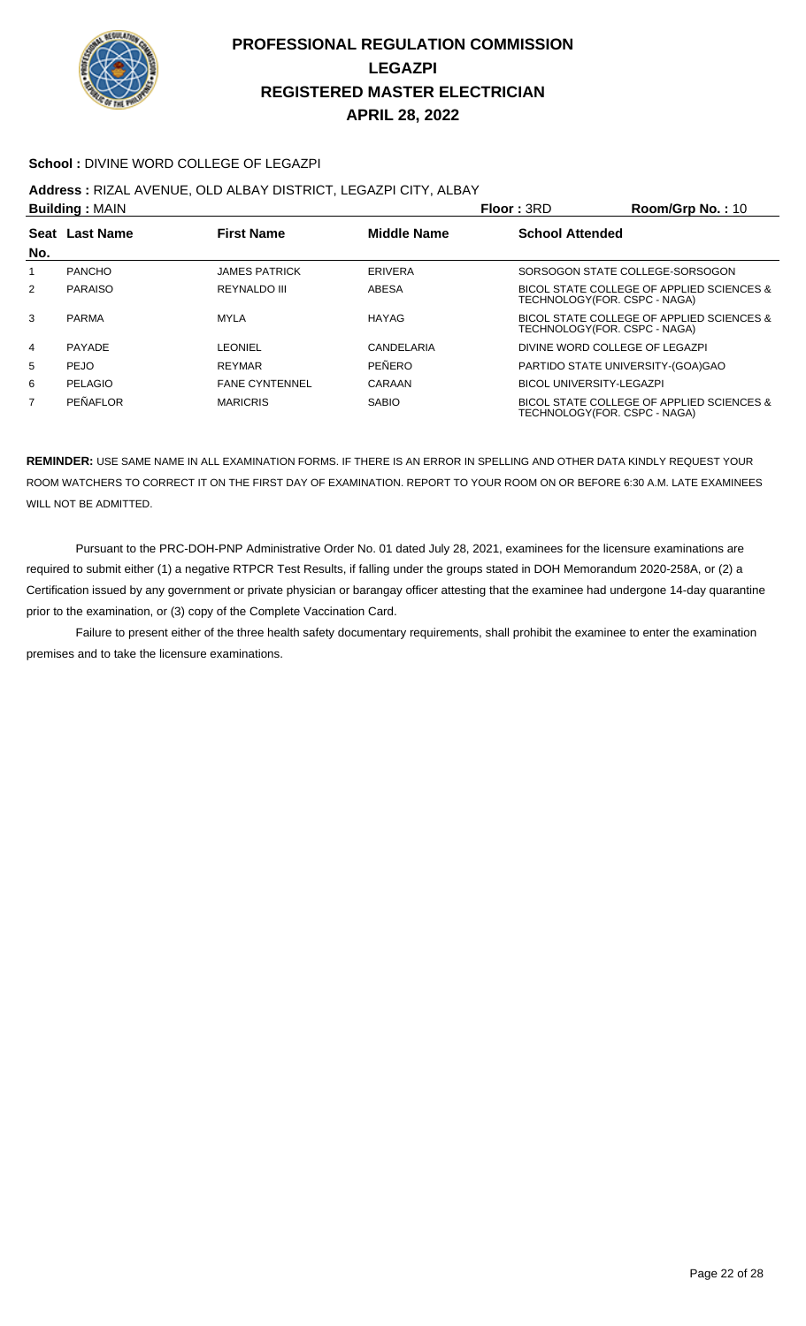

#### **School :** DIVINE WORD COLLEGE OF LEGAZPI

**Address :** RIZAL AVENUE, OLD ALBAY DISTRICT, LEGAZPI CITY, ALBAY

| <b>Building: MAIN</b> |                       |                       |                    | Floor: 3RD                        | Room/Grp No.: $10$                        |
|-----------------------|-----------------------|-----------------------|--------------------|-----------------------------------|-------------------------------------------|
| No.                   | <b>Seat Last Name</b> | <b>First Name</b>     | <b>Middle Name</b> | <b>School Attended</b>            |                                           |
|                       | <b>PANCHO</b>         | <b>JAMES PATRICK</b>  | <b>ERIVERA</b>     | SORSOGON STATE COLLEGE-SORSOGON   |                                           |
| 2                     | <b>PARAISO</b>        | <b>REYNALDO III</b>   | ABESA              | TECHNOLOGY(FOR. CSPC - NAGA)      | BICOL STATE COLLEGE OF APPLIED SCIENCES & |
| 3                     | <b>PARMA</b>          | <b>MYLA</b>           | HAYAG              | TECHNOLOGY(FOR. CSPC - NAGA)      | BICOL STATE COLLEGE OF APPLIED SCIENCES & |
| 4                     | PAYADE                | LEONIEL               | CANDELARIA         | DIVINE WORD COLLEGE OF LEGAZPI    |                                           |
| 5                     | <b>PEJO</b>           | <b>REYMAR</b>         | PEÑERO             | PARTIDO STATE UNIVERSITY-(GOA)GAO |                                           |
| 6                     | <b>PELAGIO</b>        | <b>FANE CYNTENNEL</b> | CARAAN             | BICOL UNIVERSITY-LEGAZPI          |                                           |
| $\overline{7}$        | PEÑAFLOR              | <b>MARICRIS</b>       | <b>SABIO</b>       | TECHNOLOGY (FOR. CSPC - NAGA)     | BICOL STATE COLLEGE OF APPLIED SCIENCES & |

**REMINDER:** USE SAME NAME IN ALL EXAMINATION FORMS. IF THERE IS AN ERROR IN SPELLING AND OTHER DATA KINDLY REQUEST YOUR ROOM WATCHERS TO CORRECT IT ON THE FIRST DAY OF EXAMINATION. REPORT TO YOUR ROOM ON OR BEFORE 6:30 A.M. LATE EXAMINEES WILL NOT BE ADMITTED.

 Pursuant to the PRC-DOH-PNP Administrative Order No. 01 dated July 28, 2021, examinees for the licensure examinations are required to submit either (1) a negative RTPCR Test Results, if falling under the groups stated in DOH Memorandum 2020-258A, or (2) a Certification issued by any government or private physician or barangay officer attesting that the examinee had undergone 14-day quarantine prior to the examination, or (3) copy of the Complete Vaccination Card.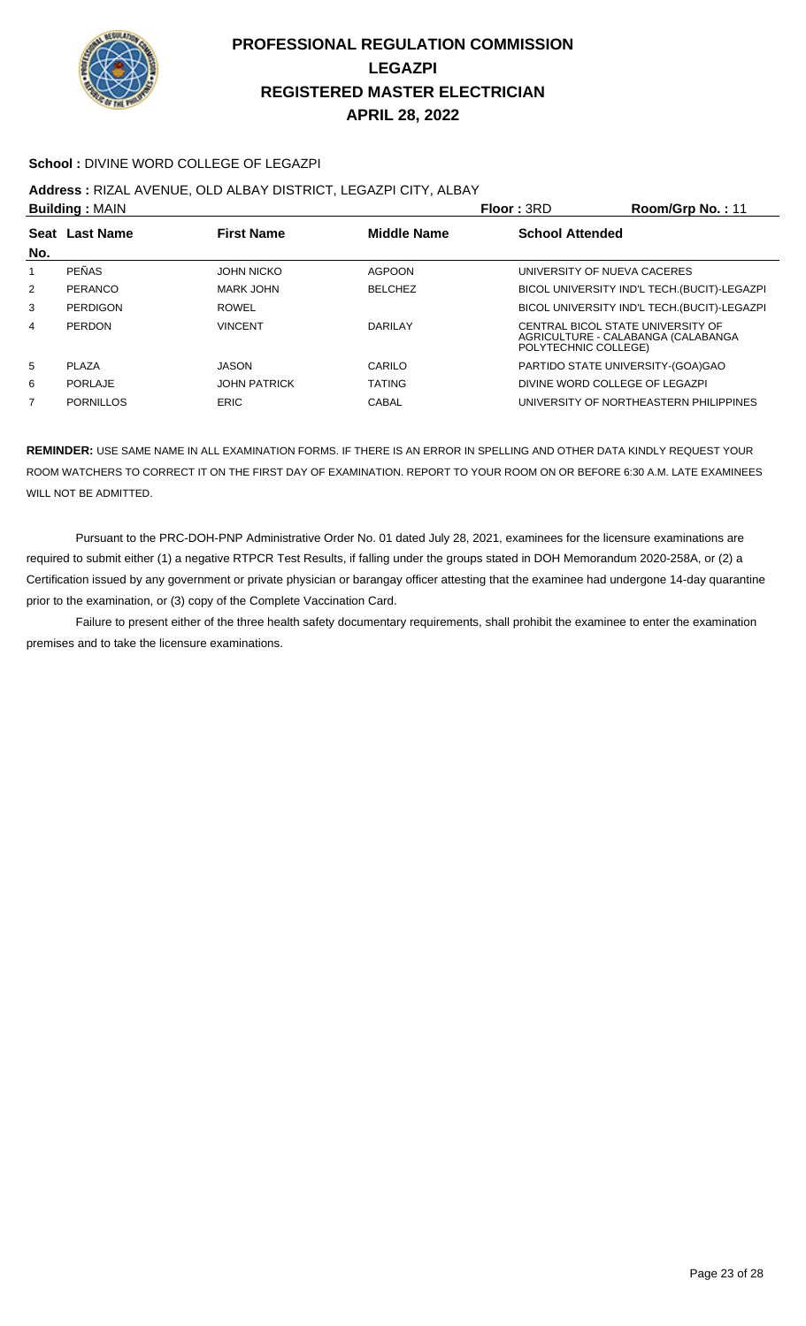

#### **School :** DIVINE WORD COLLEGE OF LEGAZPI

**Address :** RIZAL AVENUE, OLD ALBAY DISTRICT, LEGAZPI CITY, ALBAY

| <b>Building: MAIN</b> |                  |                     |                    | Floor: 3RD                                                                                      | Room/Grp No.: 11                             |
|-----------------------|------------------|---------------------|--------------------|-------------------------------------------------------------------------------------------------|----------------------------------------------|
| <b>Seat</b><br>No.    | <b>Last Name</b> | <b>First Name</b>   | <b>Middle Name</b> | <b>School Attended</b>                                                                          |                                              |
| 1                     | <b>PEÑAS</b>     | <b>JOHN NICKO</b>   | <b>AGPOON</b>      | UNIVERSITY OF NUEVA CACERES                                                                     |                                              |
| $\overline{2}$        | PERANCO          | MARK JOHN           | <b>BELCHEZ</b>     |                                                                                                 | BICOL UNIVERSITY IND'L TECH. (BUCIT)-LEGAZPI |
| 3                     | PERDIGON         | <b>ROWEL</b>        |                    |                                                                                                 | BICOL UNIVERSITY IND'L TECH. (BUCIT)-LEGAZPI |
| 4                     | PERDON           | <b>VINCENT</b>      | DARII AY           | CENTRAL BICOL STATE UNIVERSITY OF<br>AGRICULTURE - CALABANGA (CALABANGA<br>POLYTECHNIC COLLEGE) |                                              |
| 5                     | <b>PLAZA</b>     | <b>JASON</b>        | CARILO             | PARTIDO STATE UNIVERSITY-(GOA)GAO                                                               |                                              |
| 6                     | PORLAJE          | <b>JOHN PATRICK</b> | <b>TATING</b>      | DIVINE WORD COLLEGE OF LEGAZPI                                                                  |                                              |
| 7                     | PORNILLOS        | ERIC                | CABAL              |                                                                                                 | UNIVERSITY OF NORTHEASTERN PHILIPPINES       |

**REMINDER:** USE SAME NAME IN ALL EXAMINATION FORMS. IF THERE IS AN ERROR IN SPELLING AND OTHER DATA KINDLY REQUEST YOUR ROOM WATCHERS TO CORRECT IT ON THE FIRST DAY OF EXAMINATION. REPORT TO YOUR ROOM ON OR BEFORE 6:30 A.M. LATE EXAMINEES WILL NOT BE ADMITTED.

 Pursuant to the PRC-DOH-PNP Administrative Order No. 01 dated July 28, 2021, examinees for the licensure examinations are required to submit either (1) a negative RTPCR Test Results, if falling under the groups stated in DOH Memorandum 2020-258A, or (2) a Certification issued by any government or private physician or barangay officer attesting that the examinee had undergone 14-day quarantine prior to the examination, or (3) copy of the Complete Vaccination Card.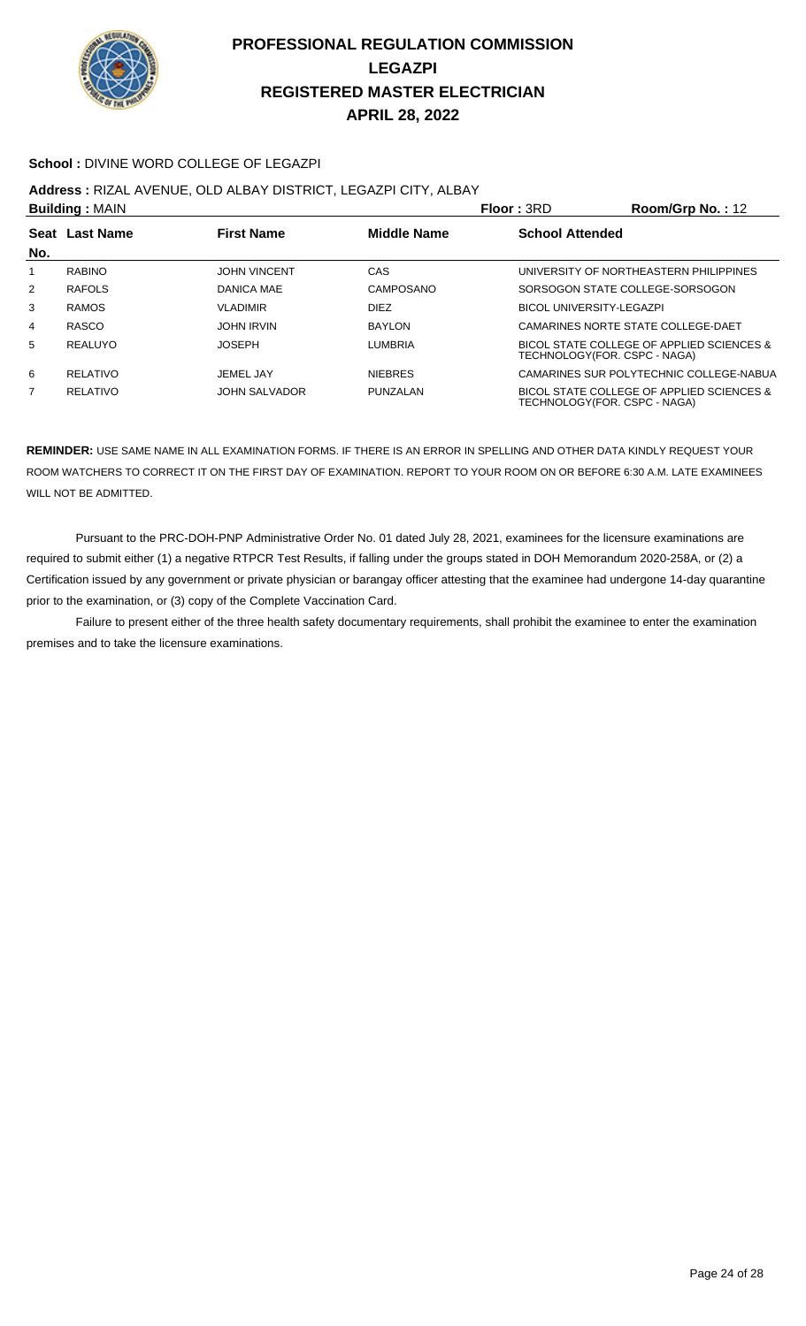

#### **School :** DIVINE WORD COLLEGE OF LEGAZPI

**Address :** RIZAL AVENUE, OLD ALBAY DISTRICT, LEGAZPI CITY, ALBAY

| <b>Building: MAIN</b> |                |                      | Floor: 3RD         | $Room/Grp$ No.: 12       |                                                                           |
|-----------------------|----------------|----------------------|--------------------|--------------------------|---------------------------------------------------------------------------|
| No.                   | Seat Last Name | <b>First Name</b>    | <b>Middle Name</b> | <b>School Attended</b>   |                                                                           |
| 1                     | <b>RABINO</b>  | <b>JOHN VINCENT</b>  | CAS                |                          | UNIVERSITY OF NORTHEASTERN PHILIPPINES                                    |
| 2                     | <b>RAFOLS</b>  | DANICA MAE           | CAMPOSANO          |                          | SORSOGON STATE COLLEGE-SORSOGON                                           |
| 3                     | <b>RAMOS</b>   | <b>VLADIMIR</b>      | <b>DIEZ</b>        | BICOL UNIVERSITY-LEGAZPI |                                                                           |
| 4                     | RASCO          | <b>JOHN IRVIN</b>    | <b>BAYLON</b>      |                          | CAMARINES NORTE STATE COLLEGE-DAET                                        |
| 5                     | REALUYO        | <b>JOSEPH</b>        | <b>LUMBRIA</b>     |                          | BICOL STATE COLLEGE OF APPLIED SCIENCES &<br>TECHNOLOGY(FOR. CSPC - NAGA) |
| 6                     | RELATIVO       | JEMEL JAY            | <b>NIEBRES</b>     |                          | CAMARINES SUR POLYTECHNIC COLLEGE-NABUA                                   |
| 7                     | RELATIVO       | <b>JOHN SALVADOR</b> | PUNZALAN           |                          | BICOL STATE COLLEGE OF APPLIED SCIENCES &<br>TECHNOLOGY(FOR. CSPC - NAGA) |

**REMINDER:** USE SAME NAME IN ALL EXAMINATION FORMS. IF THERE IS AN ERROR IN SPELLING AND OTHER DATA KINDLY REQUEST YOUR ROOM WATCHERS TO CORRECT IT ON THE FIRST DAY OF EXAMINATION. REPORT TO YOUR ROOM ON OR BEFORE 6:30 A.M. LATE EXAMINEES WILL NOT BE ADMITTED.

 Pursuant to the PRC-DOH-PNP Administrative Order No. 01 dated July 28, 2021, examinees for the licensure examinations are required to submit either (1) a negative RTPCR Test Results, if falling under the groups stated in DOH Memorandum 2020-258A, or (2) a Certification issued by any government or private physician or barangay officer attesting that the examinee had undergone 14-day quarantine prior to the examination, or (3) copy of the Complete Vaccination Card.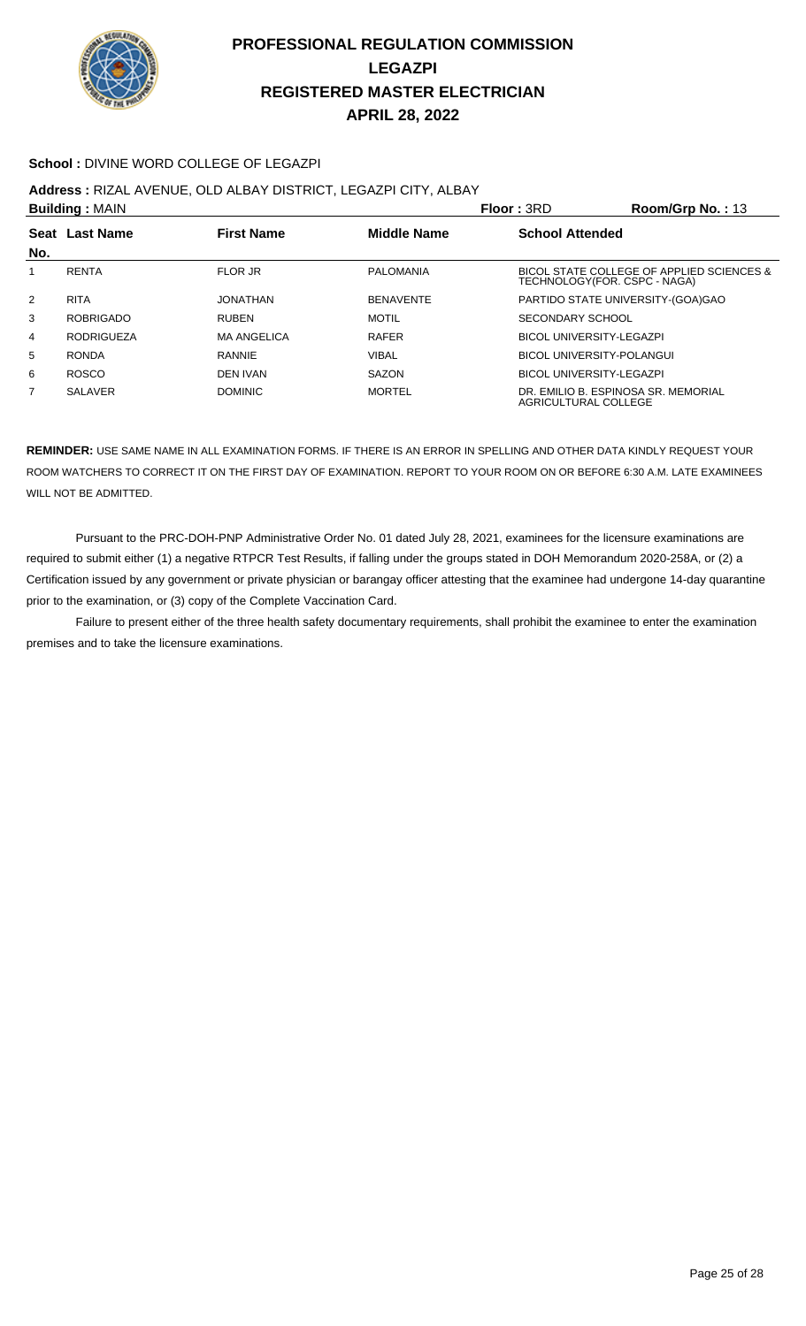

#### **School :** DIVINE WORD COLLEGE OF LEGAZPI

**Address :** RIZAL AVENUE, OLD ALBAY DISTRICT, LEGAZPI CITY, ALBAY

| <b>Building: MAIN</b> |                   |                    | <b>Floor: 3RD</b>  | Room/Grp No.: $13$     |                                                                           |
|-----------------------|-------------------|--------------------|--------------------|------------------------|---------------------------------------------------------------------------|
| No.                   | Seat Last Name    | <b>First Name</b>  | <b>Middle Name</b> | <b>School Attended</b> |                                                                           |
| 1                     | RENTA             | <b>FLOR JR</b>     | <b>PALOMANIA</b>   |                        | BICOL STATE COLLEGE OF APPLIED SCIENCES &<br>TECHNOLOGY(FOR. CSPC - NAGA) |
| 2                     | <b>RITA</b>       | JONATHAN           | <b>BENAVENTE</b>   |                        | PARTIDO STATE UNIVERSITY-(GOA)GAO                                         |
| 3                     | <b>ROBRIGADO</b>  | <b>RUBEN</b>       | <b>MOTIL</b>       | SECONDARY SCHOOL       |                                                                           |
| 4                     | <b>RODRIGUEZA</b> | <b>MA ANGELICA</b> | <b>RAFER</b>       |                        | BICOL UNIVERSITY-LEGAZPI                                                  |
| 5                     | <b>RONDA</b>      | <b>RANNIE</b>      | <b>VIBAL</b>       |                        | <b>BICOL UNIVERSITY-POLANGUI</b>                                          |
| 6                     | <b>ROSCO</b>      | <b>DEN IVAN</b>    | SAZON              |                        | BICOL UNIVERSITY-LEGAZPI                                                  |
| $\overline{7}$        | <b>SALAVER</b>    | <b>DOMINIC</b>     | <b>MORTEL</b>      | AGRICULTURAL COLLEGE   | DR. EMILIO B. ESPINOSA SR. MEMORIAL                                       |

**REMINDER:** USE SAME NAME IN ALL EXAMINATION FORMS. IF THERE IS AN ERROR IN SPELLING AND OTHER DATA KINDLY REQUEST YOUR ROOM WATCHERS TO CORRECT IT ON THE FIRST DAY OF EXAMINATION. REPORT TO YOUR ROOM ON OR BEFORE 6:30 A.M. LATE EXAMINEES WILL NOT BE ADMITTED.

 Pursuant to the PRC-DOH-PNP Administrative Order No. 01 dated July 28, 2021, examinees for the licensure examinations are required to submit either (1) a negative RTPCR Test Results, if falling under the groups stated in DOH Memorandum 2020-258A, or (2) a Certification issued by any government or private physician or barangay officer attesting that the examinee had undergone 14-day quarantine prior to the examination, or (3) copy of the Complete Vaccination Card.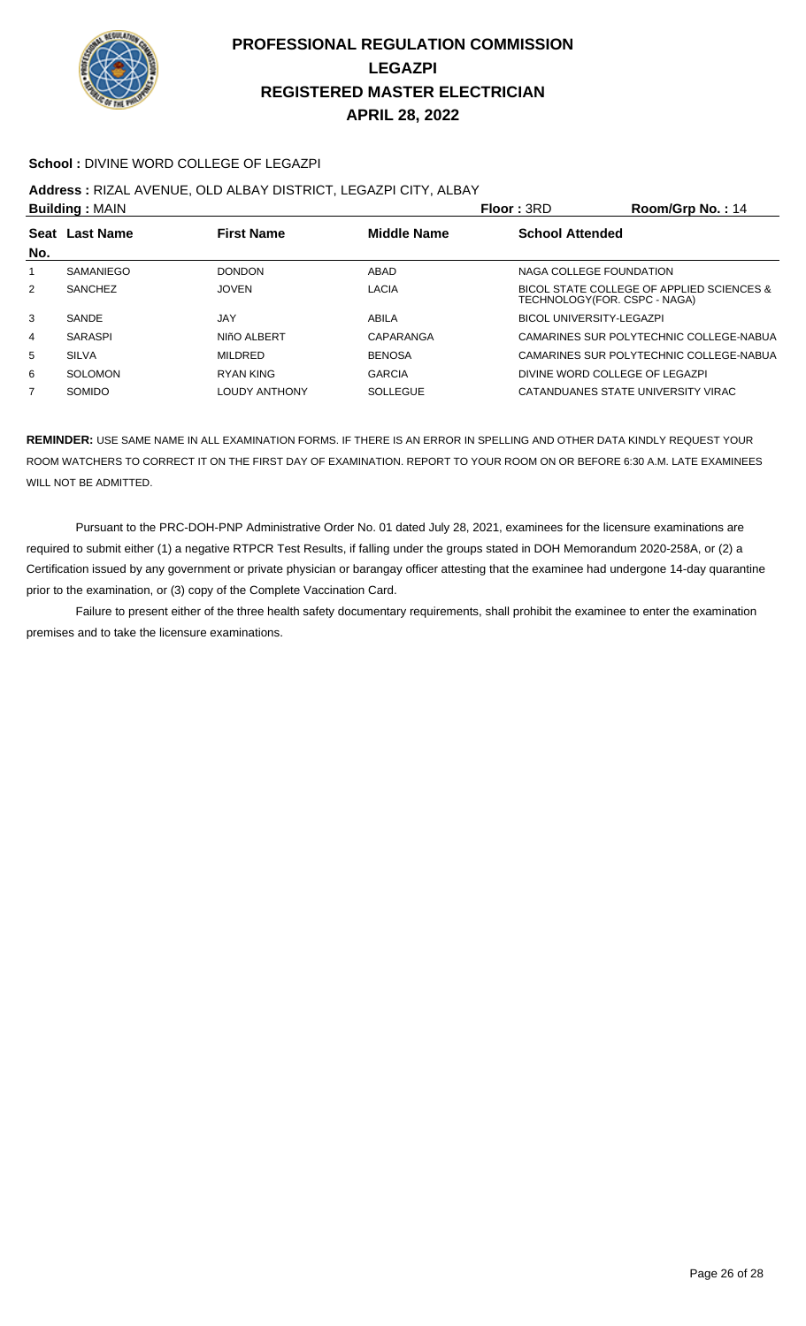

#### **School :** DIVINE WORD COLLEGE OF LEGAZPI

**Address :** RIZAL AVENUE, OLD ALBAY DISTRICT, LEGAZPI CITY, ALBAY

| <b>Building: MAIN</b> |                                                           |                      |                 | Floor: 3RD                     | Room/Grp No.: 14                          |  |
|-----------------------|-----------------------------------------------------------|----------------------|-----------------|--------------------------------|-------------------------------------------|--|
|                       | <b>Middle Name</b><br>Seat Last Name<br><b>First Name</b> |                      |                 | <b>School Attended</b>         |                                           |  |
| No.                   |                                                           |                      |                 |                                |                                           |  |
| 1                     | SAMANIEGO                                                 | <b>DONDON</b>        | ABAD            | NAGA COLLEGE FOUNDATION        |                                           |  |
| 2                     | <b>SANCHEZ</b>                                            | <b>JOVEN</b>         | LACIA           | TECHNOLOGY(FOR. CSPC - NAGA)   | BICOL STATE COLLEGE OF APPLIED SCIENCES & |  |
| 3                     | SANDE                                                     | JAY                  | ABILA           | BICOL UNIVERSITY-LEGAZPI       |                                           |  |
| $\overline{4}$        | <b>SARASPI</b>                                            | NIñO ALBERT          | CAPARANGA       |                                | CAMARINES SUR POLYTECHNIC COLLEGE-NABUA   |  |
| 5                     | <b>SILVA</b>                                              | <b>MILDRED</b>       | <b>BENOSA</b>   |                                | CAMARINES SUR POLYTECHNIC COLLEGE-NABUA   |  |
| 6                     | SOLOMON                                                   | RYAN KING            | <b>GARCIA</b>   | DIVINE WORD COLLEGE OF LEGAZPI |                                           |  |
| $\overline{7}$        | <b>SOMIDO</b>                                             | <b>LOUDY ANTHONY</b> | <b>SOLLEGUE</b> |                                | CATANDUANES STATE UNIVERSITY VIRAC        |  |
|                       |                                                           |                      |                 |                                |                                           |  |

**REMINDER:** USE SAME NAME IN ALL EXAMINATION FORMS. IF THERE IS AN ERROR IN SPELLING AND OTHER DATA KINDLY REQUEST YOUR ROOM WATCHERS TO CORRECT IT ON THE FIRST DAY OF EXAMINATION. REPORT TO YOUR ROOM ON OR BEFORE 6:30 A.M. LATE EXAMINEES WILL NOT BE ADMITTED.

 Pursuant to the PRC-DOH-PNP Administrative Order No. 01 dated July 28, 2021, examinees for the licensure examinations are required to submit either (1) a negative RTPCR Test Results, if falling under the groups stated in DOH Memorandum 2020-258A, or (2) a Certification issued by any government or private physician or barangay officer attesting that the examinee had undergone 14-day quarantine prior to the examination, or (3) copy of the Complete Vaccination Card.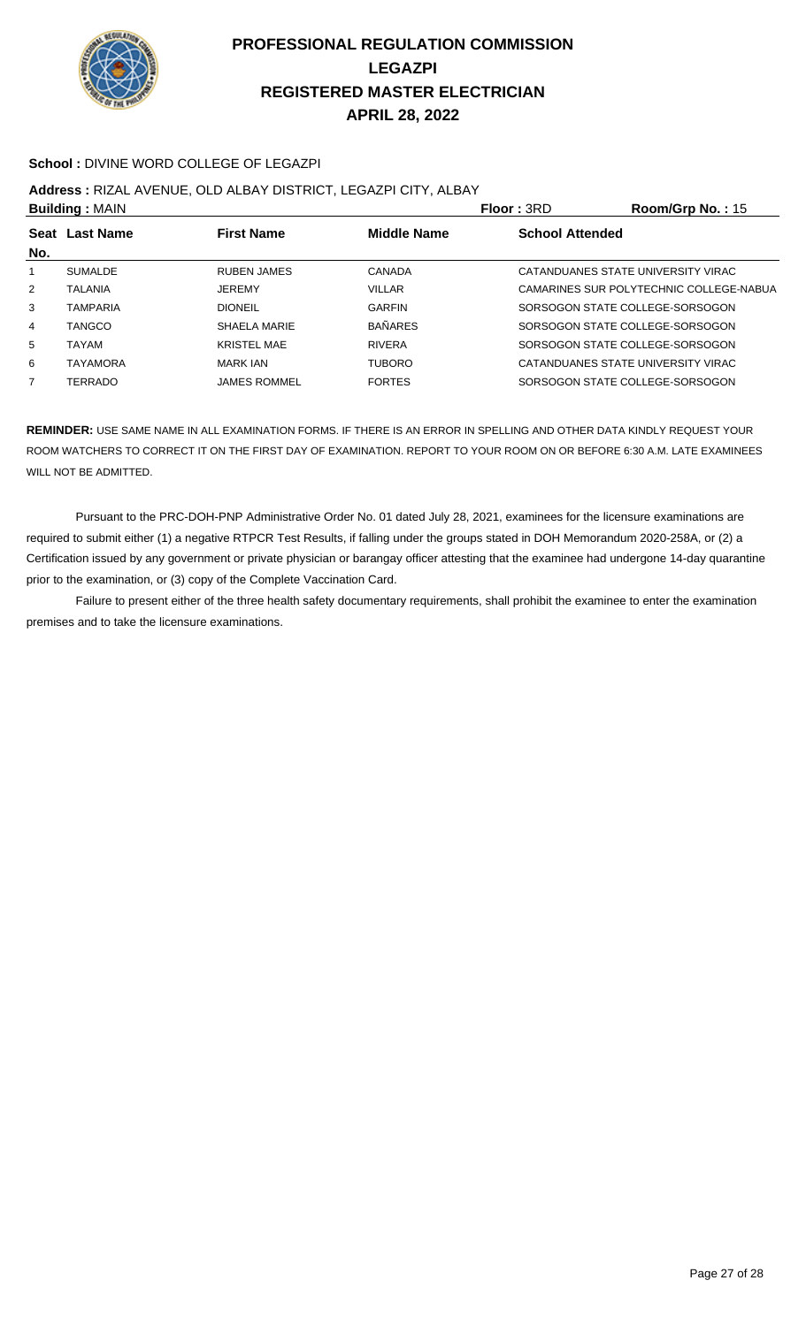

#### **School :** DIVINE WORD COLLEGE OF LEGAZPI

#### **Address :** RIZAL AVENUE, OLD ALBAY DISTRICT, LEGAZPI CITY, ALBAY

|     | <b>Building: MAIN</b> |                     |                    | <b>Floor: 3RD</b>      | Room/Grp No.: 15                        |
|-----|-----------------------|---------------------|--------------------|------------------------|-----------------------------------------|
|     | Seat Last Name        | <b>First Name</b>   | <b>Middle Name</b> | <b>School Attended</b> |                                         |
| No. |                       |                     |                    |                        |                                         |
|     | <b>SUMALDE</b>        | <b>RUBEN JAMES</b>  | CANADA             |                        | CATANDUANES STATE UNIVERSITY VIRAC      |
| 2   | <b>TALANIA</b>        | <b>JEREMY</b>       | <b>VILLAR</b>      |                        | CAMARINES SUR POLYTECHNIC COLLEGE-NABUA |
| 3   | <b>TAMPARIA</b>       | <b>DIONEIL</b>      | <b>GARFIN</b>      |                        | SORSOGON STATE COLLEGE-SORSOGON         |
| 4   | TANGCO                | SHAELA MARIE        | <b>BAÑARES</b>     |                        | SORSOGON STATE COLLEGE-SORSOGON         |
| 5   | TAYAM                 | <b>KRISTEL MAE</b>  | <b>RIVERA</b>      |                        | SORSOGON STATE COLLEGE-SORSOGON         |
| 6   | TAYAMORA              | <b>MARK JAN</b>     | <b>TUBORO</b>      |                        | CATANDUANES STATE UNIVERSITY VIRAC      |
| 7   | TERRADO               | <b>JAMES ROMMEL</b> | <b>FORTES</b>      |                        | SORSOGON STATE COLLEGE-SORSOGON         |

**REMINDER:** USE SAME NAME IN ALL EXAMINATION FORMS. IF THERE IS AN ERROR IN SPELLING AND OTHER DATA KINDLY REQUEST YOUR ROOM WATCHERS TO CORRECT IT ON THE FIRST DAY OF EXAMINATION. REPORT TO YOUR ROOM ON OR BEFORE 6:30 A.M. LATE EXAMINEES WILL NOT BE ADMITTED.

 Pursuant to the PRC-DOH-PNP Administrative Order No. 01 dated July 28, 2021, examinees for the licensure examinations are required to submit either (1) a negative RTPCR Test Results, if falling under the groups stated in DOH Memorandum 2020-258A, or (2) a Certification issued by any government or private physician or barangay officer attesting that the examinee had undergone 14-day quarantine prior to the examination, or (3) copy of the Complete Vaccination Card.